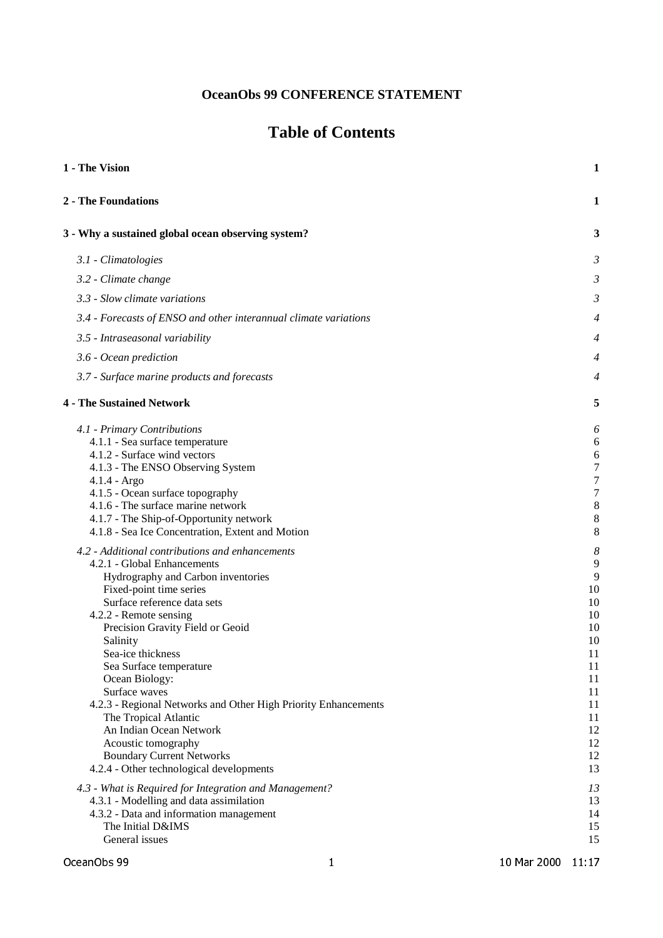# **OceanObs 99 CONFERENCE STATEMENT**

# **Table of Contents**

| 1 - The Vision                                                                                                                                                                                                                                                                                                                                                                                                                                                                                                                                                                                                                                                                                                                                                                                                                                                                                             | 1                                                                                                                                                  |
|------------------------------------------------------------------------------------------------------------------------------------------------------------------------------------------------------------------------------------------------------------------------------------------------------------------------------------------------------------------------------------------------------------------------------------------------------------------------------------------------------------------------------------------------------------------------------------------------------------------------------------------------------------------------------------------------------------------------------------------------------------------------------------------------------------------------------------------------------------------------------------------------------------|----------------------------------------------------------------------------------------------------------------------------------------------------|
| 2 - The Foundations                                                                                                                                                                                                                                                                                                                                                                                                                                                                                                                                                                                                                                                                                                                                                                                                                                                                                        | 1                                                                                                                                                  |
| 3 - Why a sustained global ocean observing system?                                                                                                                                                                                                                                                                                                                                                                                                                                                                                                                                                                                                                                                                                                                                                                                                                                                         | 3                                                                                                                                                  |
| 3.1 - Climatologies                                                                                                                                                                                                                                                                                                                                                                                                                                                                                                                                                                                                                                                                                                                                                                                                                                                                                        | 3                                                                                                                                                  |
| 3.2 - Climate change                                                                                                                                                                                                                                                                                                                                                                                                                                                                                                                                                                                                                                                                                                                                                                                                                                                                                       | 3                                                                                                                                                  |
| 3.3 - Slow climate variations                                                                                                                                                                                                                                                                                                                                                                                                                                                                                                                                                                                                                                                                                                                                                                                                                                                                              | 3                                                                                                                                                  |
| 3.4 - Forecasts of ENSO and other interannual climate variations                                                                                                                                                                                                                                                                                                                                                                                                                                                                                                                                                                                                                                                                                                                                                                                                                                           | 4                                                                                                                                                  |
| 3.5 - Intraseasonal variability                                                                                                                                                                                                                                                                                                                                                                                                                                                                                                                                                                                                                                                                                                                                                                                                                                                                            |                                                                                                                                                    |
| 3.6 - Ocean prediction                                                                                                                                                                                                                                                                                                                                                                                                                                                                                                                                                                                                                                                                                                                                                                                                                                                                                     | 4                                                                                                                                                  |
| 3.7 - Surface marine products and forecasts                                                                                                                                                                                                                                                                                                                                                                                                                                                                                                                                                                                                                                                                                                                                                                                                                                                                | 4                                                                                                                                                  |
| <b>4 - The Sustained Network</b>                                                                                                                                                                                                                                                                                                                                                                                                                                                                                                                                                                                                                                                                                                                                                                                                                                                                           | 5                                                                                                                                                  |
| 4.1 - Primary Contributions<br>4.1.1 - Sea surface temperature<br>4.1.2 - Surface wind vectors<br>4.1.3 - The ENSO Observing System<br>$4.1.4 - Argo$<br>4.1.5 - Ocean surface topography<br>4.1.6 - The surface marine network<br>4.1.7 - The Ship-of-Opportunity network<br>4.1.8 - Sea Ice Concentration, Extent and Motion<br>4.2 - Additional contributions and enhancements<br>4.2.1 - Global Enhancements<br>Hydrography and Carbon inventories<br>Fixed-point time series<br>Surface reference data sets<br>4.2.2 - Remote sensing<br>Precision Gravity Field or Geoid<br>Salinity<br>Sea-ice thickness<br>Sea Surface temperature<br>Ocean Biology:<br>Surface waves<br>4.2.3 - Regional Networks and Other High Priority Enhancements<br>The Tropical Atlantic<br>An Indian Ocean Network<br>Acoustic tomography<br><b>Boundary Current Networks</b><br>4.2.4 - Other technological developments | 6<br>6<br>6<br>7<br>7<br>7<br>8<br>8<br>8<br>8<br>9<br>9<br>10<br>10<br>10<br>10<br>10<br>11<br>11<br>11<br>11<br>11<br>11<br>12<br>12<br>12<br>13 |
| 4.3 - What is Required for Integration and Management?<br>4.3.1 - Modelling and data assimilation<br>4.3.2 - Data and information management<br>The Initial D&IMS<br>General issues                                                                                                                                                                                                                                                                                                                                                                                                                                                                                                                                                                                                                                                                                                                        | 13<br>13<br>14<br>15<br>15                                                                                                                         |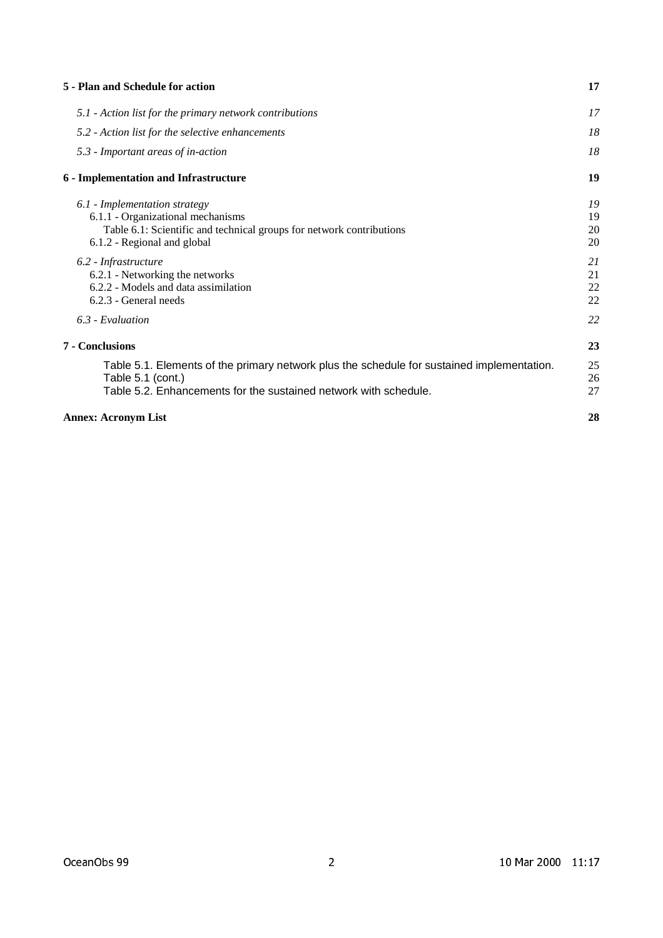| 5 - Plan and Schedule for action                                                                                                                                                    | 17                   |
|-------------------------------------------------------------------------------------------------------------------------------------------------------------------------------------|----------------------|
| 5.1 - Action list for the primary network contributions                                                                                                                             | 17                   |
| 5.2 - Action list for the selective enhancements                                                                                                                                    | 18                   |
| 5.3 - Important areas of in-action                                                                                                                                                  | 18                   |
| 6 - Implementation and Infrastructure                                                                                                                                               | 19                   |
| 6.1 - Implementation strategy<br>6.1.1 - Organizational mechanisms<br>Table 6.1: Scientific and technical groups for network contributions<br>6.1.2 - Regional and global           | 19<br>19<br>20<br>20 |
| 6.2 - Infrastructure<br>6.2.1 - Networking the networks<br>6.2.2 - Models and data assimilation<br>6.2.3 - General needs                                                            | 21<br>21<br>22<br>22 |
| 6.3 - Evaluation                                                                                                                                                                    | 22                   |
| 7 - Conclusions                                                                                                                                                                     | 23                   |
| Table 5.1. Elements of the primary network plus the schedule for sustained implementation.<br>Table 5.1 (cont.)<br>Table 5.2. Enhancements for the sustained network with schedule. | 25<br>26<br>27       |
| <b>Annex: Acronym List</b>                                                                                                                                                          | 28                   |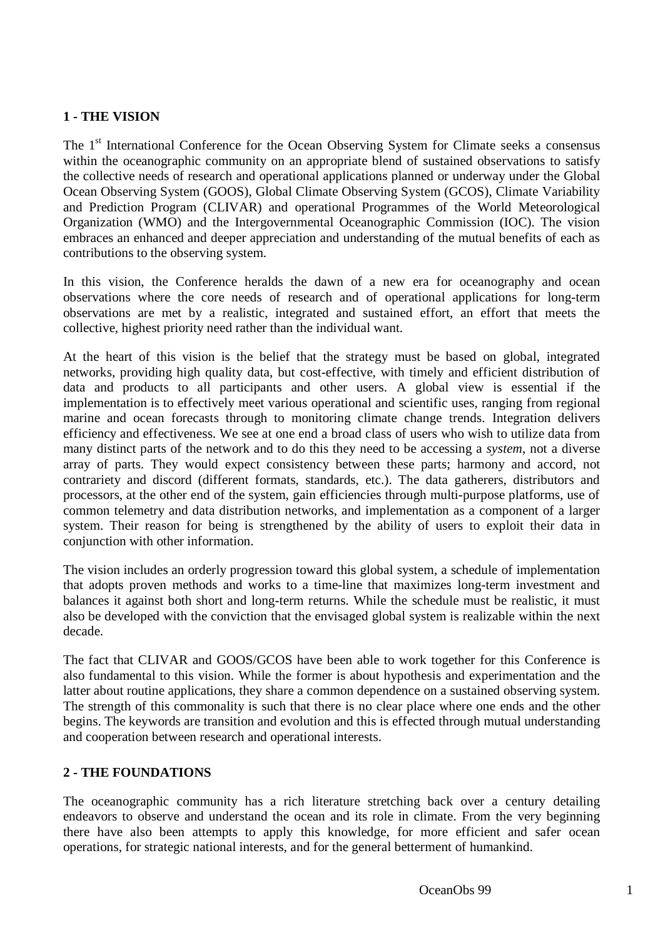# **1 - THE VISION**

The 1<sup>st</sup> International Conference for the Ocean Observing System for Climate seeks a consensus within the oceanographic community on an appropriate blend of sustained observations to satisfy the collective needs of research and operational applications planned or underway under the Global Ocean Observing System (GOOS), Global Climate Observing System (GCOS), Climate Variability and Prediction Program (CLIVAR) and operational Programmes of the World Meteorological Organization (WMO) and the Intergovernmental Oceanographic Commission (IOC). The vision embraces an enhanced and deeper appreciation and understanding of the mutual benefits of each as contributions to the observing system.

In this vision, the Conference heralds the dawn of a new era for oceanography and ocean observations where the core needs of research and of operational applications for long-term observations are met by a realistic, integrated and sustained effort, an effort that meets the collective, highest priority need rather than the individual want.

At the heart of this vision is the belief that the strategy must be based on global, integrated networks, providing high quality data, but cost-effective, with timely and efficient distribution of data and products to all participants and other users. A global view is essential if the implementation is to effectively meet various operational and scientific uses, ranging from regional marine and ocean forecasts through to monitoring climate change trends. Integration delivers efficiency and effectiveness. We see at one end a broad class of users who wish to utilize data from many distinct parts of the network and to do this they need to be accessing a *system*, not a diverse array of parts. They would expect consistency between these parts; harmony and accord, not contrariety and discord (different formats, standards, etc.). The data gatherers, distributors and processors, at the other end of the system, gain efficiencies through multi-purpose platforms, use of common telemetry and data distribution networks, and implementation as a component of a larger system. Their reason for being is strengthened by the ability of users to exploit their data in conjunction with other information.

The vision includes an orderly progression toward this global system, a schedule of implementation that adopts proven methods and works to a time-line that maximizes long-term investment and balances it against both short and long-term returns. While the schedule must be realistic, it must also be developed with the conviction that the envisaged global system is realizable within the next decade.

The fact that CLIVAR and GOOS/GCOS have been able to work together for this Conference is also fundamental to this vision. While the former is about hypothesis and experimentation and the latter about routine applications, they share a common dependence on a sustained observing system. The strength of this commonality is such that there is no clear place where one ends and the other begins. The keywords are transition and evolution and this is effected through mutual understanding and cooperation between research and operational interests.

# **2 - THE FOUNDATIONS**

The oceanographic community has a rich literature stretching back over a century detailing endeavors to observe and understand the ocean and its role in climate. From the very beginning there have also been attempts to apply this knowledge, for more efficient and safer ocean operations, for strategic national interests, and for the general betterment of humankind.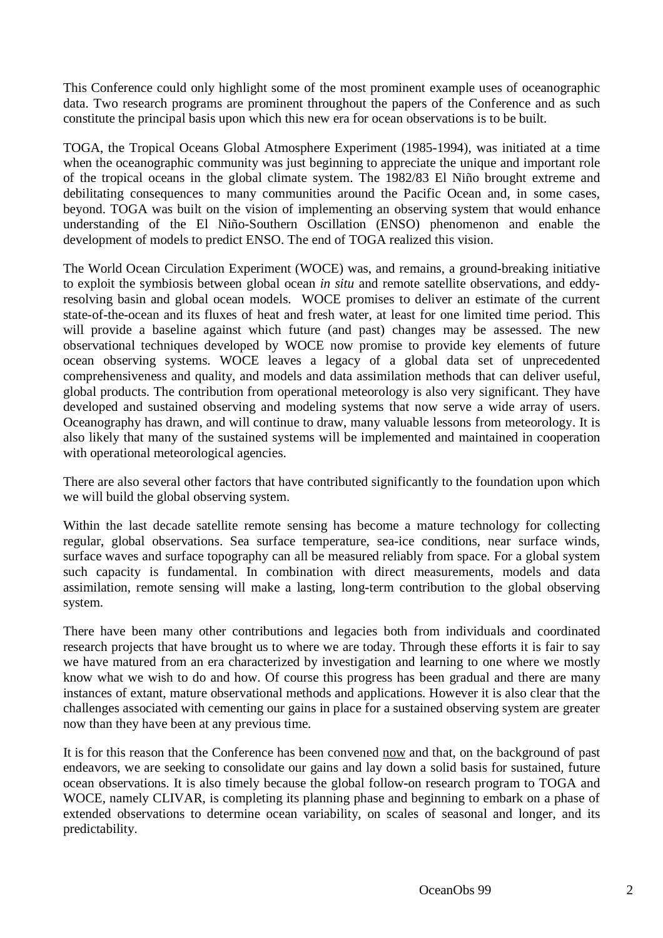This Conference could only highlight some of the most prominent example uses of oceanographic data. Two research programs are prominent throughout the papers of the Conference and as such constitute the principal basis upon which this new era for ocean observations is to be built.

TOGA, the Tropical Oceans Global Atmosphere Experiment (1985-1994), was initiated at a time when the oceanographic community was just beginning to appreciate the unique and important role of the tropical oceans in the global climate system. The 1982/83 El Niño brought extreme and debilitating consequences to many communities around the Pacific Ocean and, in some cases, beyond. TOGA was built on the vision of implementing an observing system that would enhance understanding of the El Niño-Southern Oscillation (ENSO) phenomenon and enable the development of models to predict ENSO. The end of TOGA realized this vision.

The World Ocean Circulation Experiment (WOCE) was, and remains, a ground-breaking initiative to exploit the symbiosis between global ocean *in situ* and remote satellite observations, and eddyresolving basin and global ocean models. WOCE promises to deliver an estimate of the current state-of-the-ocean and its fluxes of heat and fresh water, at least for one limited time period. This will provide a baseline against which future (and past) changes may be assessed. The new observational techniques developed by WOCE now promise to provide key elements of future ocean observing systems. WOCE leaves a legacy of a global data set of unprecedented comprehensiveness and quality, and models and data assimilation methods that can deliver useful, global products. The contribution from operational meteorology is also very significant. They have developed and sustained observing and modeling systems that now serve a wide array of users. Oceanography has drawn, and will continue to draw, many valuable lessons from meteorology. It is also likely that many of the sustained systems will be implemented and maintained in cooperation with operational meteorological agencies.

There are also several other factors that have contributed significantly to the foundation upon which we will build the global observing system.

Within the last decade satellite remote sensing has become a mature technology for collecting regular, global observations. Sea surface temperature, sea-ice conditions, near surface winds, surface waves and surface topography can all be measured reliably from space. For a global system such capacity is fundamental. In combination with direct measurements, models and data assimilation, remote sensing will make a lasting, long-term contribution to the global observing system.

There have been many other contributions and legacies both from individuals and coordinated research projects that have brought us to where we are today. Through these efforts it is fair to say we have matured from an era characterized by investigation and learning to one where we mostly know what we wish to do and how. Of course this progress has been gradual and there are many instances of extant, mature observational methods and applications. However it is also clear that the challenges associated with cementing our gains in place for a sustained observing system are greater now than they have been at any previous time.

It is for this reason that the Conference has been convened now and that, on the background of past endeavors, we are seeking to consolidate our gains and lay down a solid basis for sustained, future ocean observations. It is also timely because the global follow-on research program to TOGA and WOCE, namely CLIVAR, is completing its planning phase and beginning to embark on a phase of extended observations to determine ocean variability, on scales of seasonal and longer, and its predictability.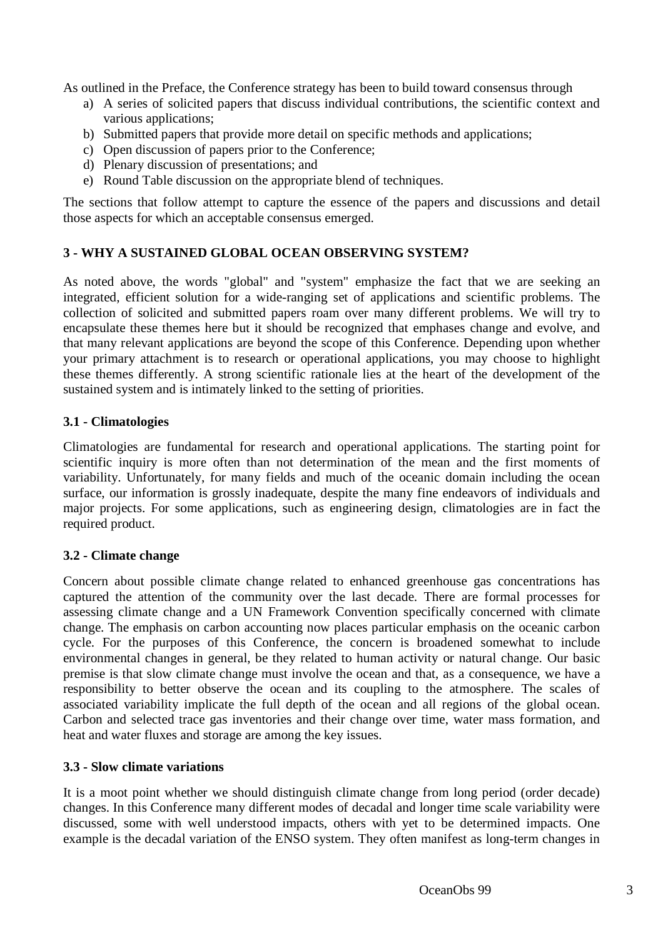As outlined in the Preface, the Conference strategy has been to build toward consensus through

- a) A series of solicited papers that discuss individual contributions, the scientific context and various applications;
- b) Submitted papers that provide more detail on specific methods and applications;
- c) Open discussion of papers prior to the Conference;
- d) Plenary discussion of presentations; and
- e) Round Table discussion on the appropriate blend of techniques.

The sections that follow attempt to capture the essence of the papers and discussions and detail those aspects for which an acceptable consensus emerged.

# **3 - WHY A SUSTAINED GLOBAL OCEAN OBSERVING SYSTEM?**

As noted above, the words "global" and "system" emphasize the fact that we are seeking an integrated, efficient solution for a wide-ranging set of applications and scientific problems. The collection of solicited and submitted papers roam over many different problems. We will try to encapsulate these themes here but it should be recognized that emphases change and evolve, and that many relevant applications are beyond the scope of this Conference. Depending upon whether your primary attachment is to research or operational applications, you may choose to highlight these themes differently. A strong scientific rationale lies at the heart of the development of the sustained system and is intimately linked to the setting of priorities.

# **3.1 - Climatologies**

Climatologies are fundamental for research and operational applications. The starting point for scientific inquiry is more often than not determination of the mean and the first moments of variability. Unfortunately, for many fields and much of the oceanic domain including the ocean surface, our information is grossly inadequate, despite the many fine endeavors of individuals and major projects. For some applications, such as engineering design, climatologies are in fact the required product.

# **3.2 - Climate change**

Concern about possible climate change related to enhanced greenhouse gas concentrations has captured the attention of the community over the last decade. There are formal processes for assessing climate change and a UN Framework Convention specifically concerned with climate change. The emphasis on carbon accounting now places particular emphasis on the oceanic carbon cycle. For the purposes of this Conference, the concern is broadened somewhat to include environmental changes in general, be they related to human activity or natural change. Our basic premise is that slow climate change must involve the ocean and that, as a consequence, we have a responsibility to better observe the ocean and its coupling to the atmosphere. The scales of associated variability implicate the full depth of the ocean and all regions of the global ocean. Carbon and selected trace gas inventories and their change over time, water mass formation, and heat and water fluxes and storage are among the key issues.

# **3.3 - Slow climate variations**

It is a moot point whether we should distinguish climate change from long period (order decade) changes. In this Conference many different modes of decadal and longer time scale variability were discussed, some with well understood impacts, others with yet to be determined impacts. One example is the decadal variation of the ENSO system. They often manifest as long-term changes in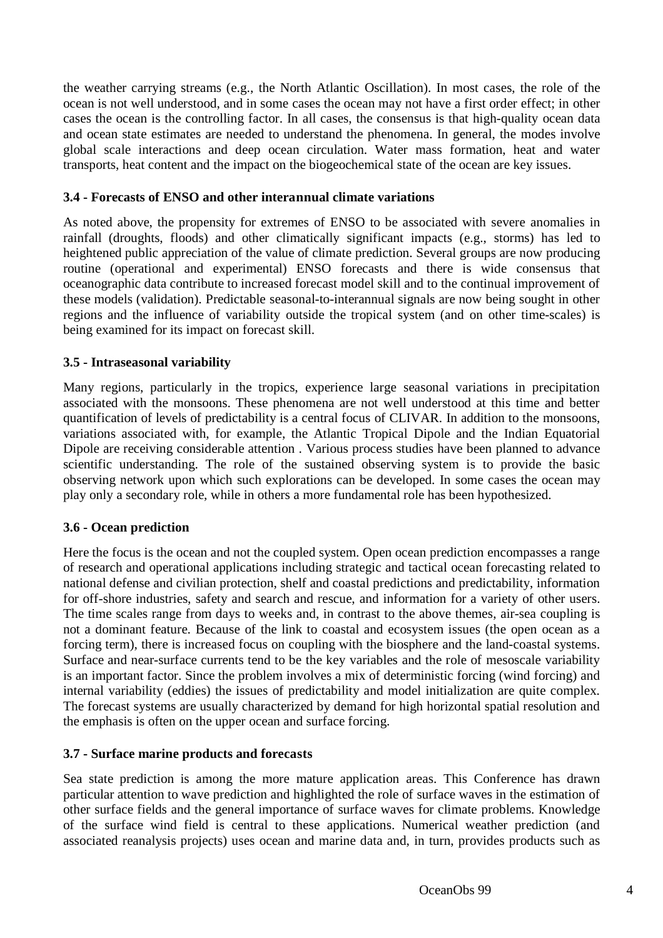the weather carrying streams (e.g., the North Atlantic Oscillation). In most cases, the role of the ocean is not well understood, and in some cases the ocean may not have a first order effect; in other cases the ocean is the controlling factor. In all cases, the consensus is that high-quality ocean data and ocean state estimates are needed to understand the phenomena. In general, the modes involve global scale interactions and deep ocean circulation. Water mass formation, heat and water transports, heat content and the impact on the biogeochemical state of the ocean are key issues.

#### **3.4 - Forecasts of ENSO and other interannual climate variations**

As noted above, the propensity for extremes of ENSO to be associated with severe anomalies in rainfall (droughts, floods) and other climatically significant impacts (e.g., storms) has led to heightened public appreciation of the value of climate prediction. Several groups are now producing routine (operational and experimental) ENSO forecasts and there is wide consensus that oceanographic data contribute to increased forecast model skill and to the continual improvement of these models (validation). Predictable seasonal-to-interannual signals are now being sought in other regions and the influence of variability outside the tropical system (and on other time-scales) is being examined for its impact on forecast skill.

#### **3.5 - Intraseasonal variability**

Many regions, particularly in the tropics, experience large seasonal variations in precipitation associated with the monsoons. These phenomena are not well understood at this time and better quantification of levels of predictability is a central focus of CLIVAR. In addition to the monsoons, variations associated with, for example, the Atlantic Tropical Dipole and the Indian Equatorial Dipole are receiving considerable attention . Various process studies have been planned to advance scientific understanding. The role of the sustained observing system is to provide the basic observing network upon which such explorations can be developed. In some cases the ocean may play only a secondary role, while in others a more fundamental role has been hypothesized.

# **3.6 - Ocean prediction**

Here the focus is the ocean and not the coupled system. Open ocean prediction encompasses a range of research and operational applications including strategic and tactical ocean forecasting related to national defense and civilian protection, shelf and coastal predictions and predictability, information for off-shore industries, safety and search and rescue, and information for a variety of other users. The time scales range from days to weeks and, in contrast to the above themes, air-sea coupling is not a dominant feature. Because of the link to coastal and ecosystem issues (the open ocean as a forcing term), there is increased focus on coupling with the biosphere and the land-coastal systems. Surface and near-surface currents tend to be the key variables and the role of mesoscale variability is an important factor. Since the problem involves a mix of deterministic forcing (wind forcing) and internal variability (eddies) the issues of predictability and model initialization are quite complex. The forecast systems are usually characterized by demand for high horizontal spatial resolution and the emphasis is often on the upper ocean and surface forcing.

#### **3.7 - Surface marine products and forecasts**

Sea state prediction is among the more mature application areas. This Conference has drawn particular attention to wave prediction and highlighted the role of surface waves in the estimation of other surface fields and the general importance of surface waves for climate problems. Knowledge of the surface wind field is central to these applications. Numerical weather prediction (and associated reanalysis projects) uses ocean and marine data and, in turn, provides products such as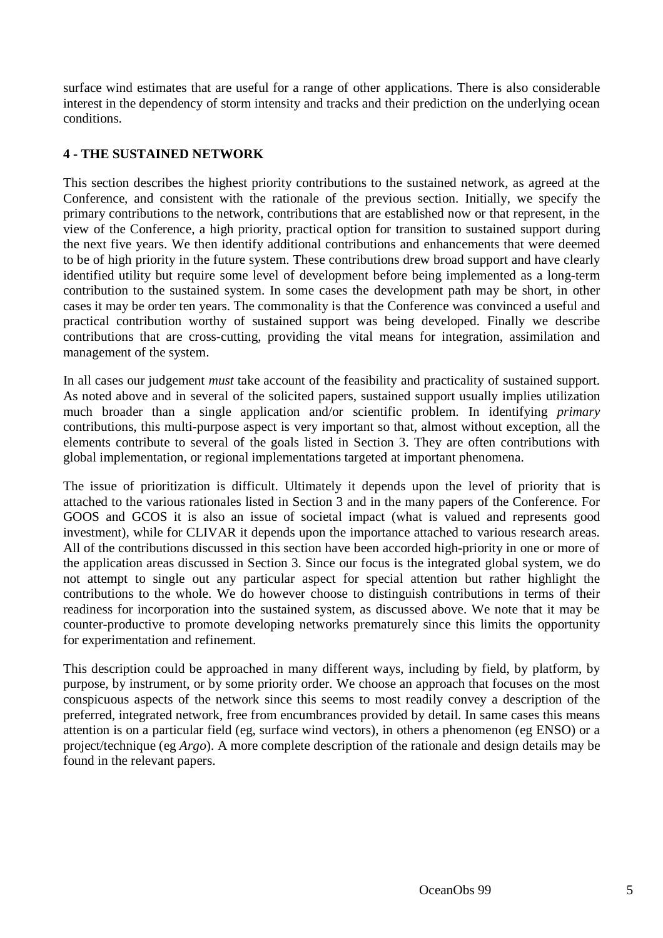surface wind estimates that are useful for a range of other applications. There is also considerable interest in the dependency of storm intensity and tracks and their prediction on the underlying ocean conditions.

# **4 - THE SUSTAINED NETWORK**

This section describes the highest priority contributions to the sustained network, as agreed at the Conference, and consistent with the rationale of the previous section. Initially, we specify the primary contributions to the network, contributions that are established now or that represent, in the view of the Conference, a high priority, practical option for transition to sustained support during the next five years. We then identify additional contributions and enhancements that were deemed to be of high priority in the future system. These contributions drew broad support and have clearly identified utility but require some level of development before being implemented as a long-term contribution to the sustained system. In some cases the development path may be short, in other cases it may be order ten years. The commonality is that the Conference was convinced a useful and practical contribution worthy of sustained support was being developed. Finally we describe contributions that are cross-cutting, providing the vital means for integration, assimilation and management of the system.

In all cases our judgement *must* take account of the feasibility and practicality of sustained support. As noted above and in several of the solicited papers, sustained support usually implies utilization much broader than a single application and/or scientific problem. In identifying *primary* contributions, this multi-purpose aspect is very important so that, almost without exception, all the elements contribute to several of the goals listed in Section 3. They are often contributions with global implementation, or regional implementations targeted at important phenomena.

The issue of prioritization is difficult. Ultimately it depends upon the level of priority that is attached to the various rationales listed in Section 3 and in the many papers of the Conference. For GOOS and GCOS it is also an issue of societal impact (what is valued and represents good investment), while for CLIVAR it depends upon the importance attached to various research areas. All of the contributions discussed in this section have been accorded high-priority in one or more of the application areas discussed in Section 3. Since our focus is the integrated global system, we do not attempt to single out any particular aspect for special attention but rather highlight the contributions to the whole. We do however choose to distinguish contributions in terms of their readiness for incorporation into the sustained system, as discussed above. We note that it may be counter-productive to promote developing networks prematurely since this limits the opportunity for experimentation and refinement.

This description could be approached in many different ways, including by field, by platform, by purpose, by instrument, or by some priority order. We choose an approach that focuses on the most conspicuous aspects of the network since this seems to most readily convey a description of the preferred, integrated network, free from encumbrances provided by detail. In same cases this means attention is on a particular field (eg, surface wind vectors), in others a phenomenon (eg ENSO) or a project/technique (eg *Argo*). A more complete description of the rationale and design details may be found in the relevant papers.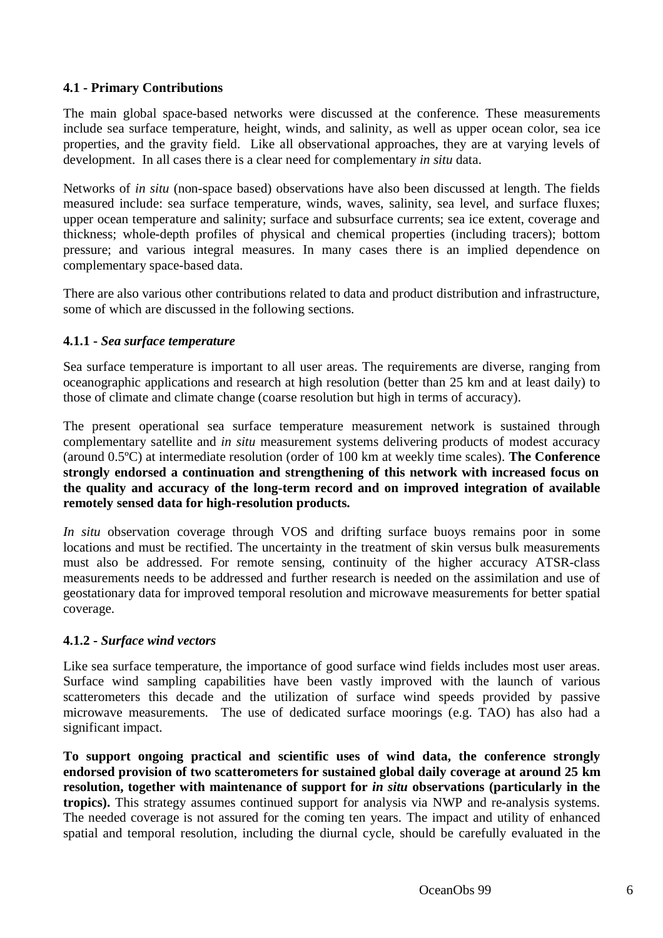# **4.1 - Primary Contributions**

The main global space-based networks were discussed at the conference. These measurements include sea surface temperature, height, winds, and salinity, as well as upper ocean color, sea ice properties, and the gravity field. Like all observational approaches, they are at varying levels of development. In all cases there is a clear need for complementary *in situ* data.

Networks of *in situ* (non-space based) observations have also been discussed at length. The fields measured include: sea surface temperature, winds, waves, salinity, sea level, and surface fluxes; upper ocean temperature and salinity; surface and subsurface currents; sea ice extent, coverage and thickness; whole-depth profiles of physical and chemical properties (including tracers); bottom pressure; and various integral measures. In many cases there is an implied dependence on complementary space-based data.

There are also various other contributions related to data and product distribution and infrastructure, some of which are discussed in the following sections.

# **4.1.1 -** *Sea surface temperature*

Sea surface temperature is important to all user areas. The requirements are diverse, ranging from oceanographic applications and research at high resolution (better than 25 km and at least daily) to those of climate and climate change (coarse resolution but high in terms of accuracy).

The present operational sea surface temperature measurement network is sustained through complementary satellite and *in situ* measurement systems delivering products of modest accuracy (around 0.5ºC) at intermediate resolution (order of 100 km at weekly time scales). **The Conference strongly endorsed a continuation and strengthening of this network with increased focus on the quality and accuracy of the long-term record and on improved integration of available remotely sensed data for high-resolution products.**

*In situ* observation coverage through VOS and drifting surface buoys remains poor in some locations and must be rectified. The uncertainty in the treatment of skin versus bulk measurements must also be addressed. For remote sensing, continuity of the higher accuracy ATSR-class measurements needs to be addressed and further research is needed on the assimilation and use of geostationary data for improved temporal resolution and microwave measurements for better spatial coverage.

# **4.1.2 -** *Surface wind vectors*

Like sea surface temperature, the importance of good surface wind fields includes most user areas. Surface wind sampling capabilities have been vastly improved with the launch of various scatterometers this decade and the utilization of surface wind speeds provided by passive microwave measurements. The use of dedicated surface moorings (e.g. TAO) has also had a significant impact.

**To support ongoing practical and scientific uses of wind data, the conference strongly endorsed provision of two scatterometers for sustained global daily coverage at around 25 km resolution, together with maintenance of support for** *in situ* **observations (particularly in the tropics).** This strategy assumes continued support for analysis via NWP and re-analysis systems. The needed coverage is not assured for the coming ten years. The impact and utility of enhanced spatial and temporal resolution, including the diurnal cycle, should be carefully evaluated in the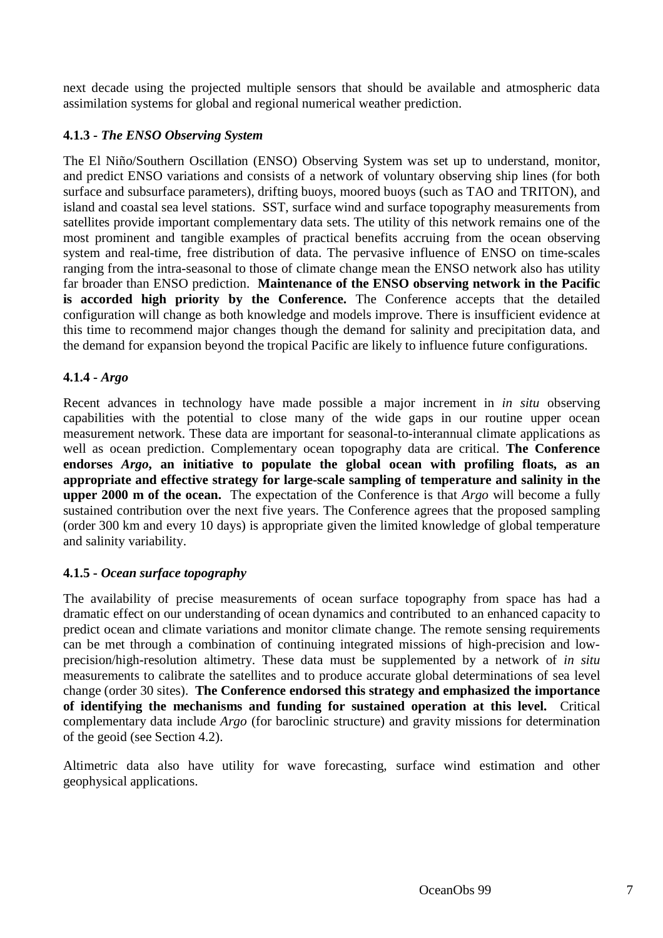next decade using the projected multiple sensors that should be available and atmospheric data assimilation systems for global and regional numerical weather prediction.

# **4.1.3 -** *The ENSO Observing System*

The El Niño/Southern Oscillation (ENSO) Observing System was set up to understand, monitor, and predict ENSO variations and consists of a network of voluntary observing ship lines (for both surface and subsurface parameters), drifting buoys, moored buoys (such as TAO and TRITON), and island and coastal sea level stations. SST, surface wind and surface topography measurements from satellites provide important complementary data sets. The utility of this network remains one of the most prominent and tangible examples of practical benefits accruing from the ocean observing system and real-time, free distribution of data. The pervasive influence of ENSO on time-scales ranging from the intra-seasonal to those of climate change mean the ENSO network also has utility far broader than ENSO prediction. **Maintenance of the ENSO observing network in the Pacific is accorded high priority by the Conference.** The Conference accepts that the detailed configuration will change as both knowledge and models improve. There is insufficient evidence at this time to recommend major changes though the demand for salinity and precipitation data, and the demand for expansion beyond the tropical Pacific are likely to influence future configurations.

# **4.1.4 -** *Argo*

Recent advances in technology have made possible a major increment in *in situ* observing capabilities with the potential to close many of the wide gaps in our routine upper ocean measurement network. These data are important for seasonal-to-interannual climate applications as well as ocean prediction. Complementary ocean topography data are critical. **The Conference endorses** *Argo***, an initiative to populate the global ocean with profiling floats, as an appropriate and effective strategy for large-scale sampling of temperature and salinity in the upper 2000 m of the ocean.** The expectation of the Conference is that *Argo* will become a fully sustained contribution over the next five years. The Conference agrees that the proposed sampling (order 300 km and every 10 days) is appropriate given the limited knowledge of global temperature and salinity variability.

# **4.1.5 -** *Ocean surface topography*

The availability of precise measurements of ocean surface topography from space has had a dramatic effect on our understanding of ocean dynamics and contributed to an enhanced capacity to predict ocean and climate variations and monitor climate change. The remote sensing requirements can be met through a combination of continuing integrated missions of high-precision and lowprecision/high-resolution altimetry. These data must be supplemented by a network of *in situ* measurements to calibrate the satellites and to produce accurate global determinations of sea level change (order 30 sites). **The Conference endorsed this strategy and emphasized the importance of identifying the mechanisms and funding for sustained operation at this level.** Critical complementary data include *Argo* (for baroclinic structure) and gravity missions for determination of the geoid (see Section 4.2).

Altimetric data also have utility for wave forecasting, surface wind estimation and other geophysical applications.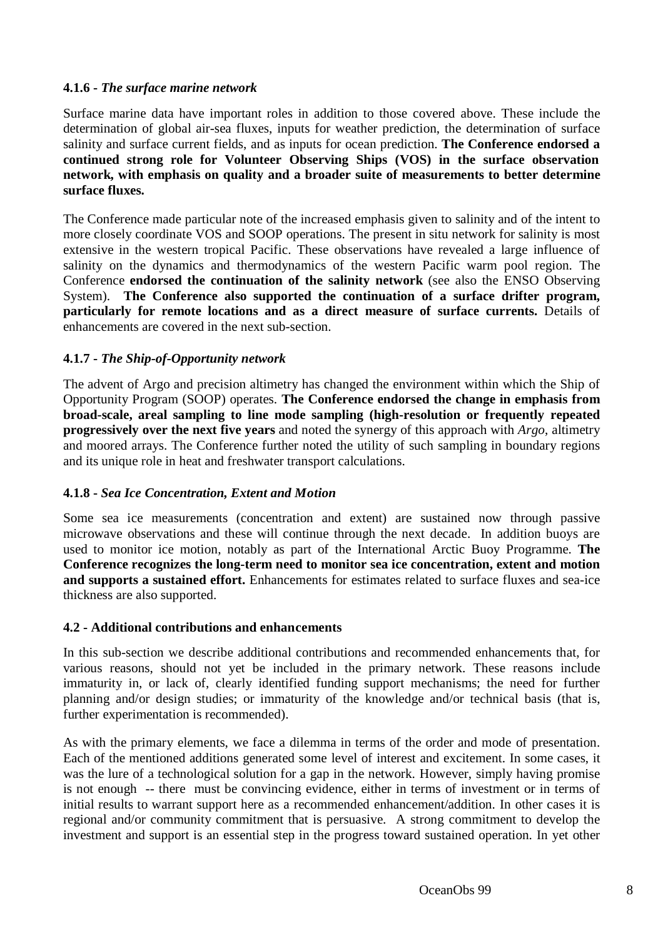#### **4.1.6 -** *The surface marine network*

Surface marine data have important roles in addition to those covered above. These include the determination of global air-sea fluxes, inputs for weather prediction, the determination of surface salinity and surface current fields, and as inputs for ocean prediction. **The Conference endorsed a continued strong role for Volunteer Observing Ships (VOS) in the surface observation network, with emphasis on quality and a broader suite of measurements to better determine surface fluxes.**

The Conference made particular note of the increased emphasis given to salinity and of the intent to more closely coordinate VOS and SOOP operations. The present in situ network for salinity is most extensive in the western tropical Pacific. These observations have revealed a large influence of salinity on the dynamics and thermodynamics of the western Pacific warm pool region. The Conference **endorsed the continuation of the salinity network** (see also the ENSO Observing System). **The Conference also supported the continuation of a surface drifter program, particularly for remote locations and as a direct measure of surface currents.** Details of enhancements are covered in the next sub-section.

# **4.1.7 -** *The Ship-of-Opportunity network*

The advent of Argo and precision altimetry has changed the environment within which the Ship of Opportunity Program (SOOP) operates. **The Conference endorsed the change in emphasis from broad-scale, areal sampling to line mode sampling (high-resolution or frequently repeated progressively over the next five years** and noted the synergy of this approach with *Argo*, altimetry and moored arrays. The Conference further noted the utility of such sampling in boundary regions and its unique role in heat and freshwater transport calculations.

#### **4.1.8 -** *Sea Ice Concentration, Extent and Motion*

Some sea ice measurements (concentration and extent) are sustained now through passive microwave observations and these will continue through the next decade. In addition buoys are used to monitor ice motion, notably as part of the International Arctic Buoy Programme. **The Conference recognizes the long-term need to monitor sea ice concentration, extent and motion and supports a sustained effort.** Enhancements for estimates related to surface fluxes and sea-ice thickness are also supported.

#### **4.2 - Additional contributions and enhancements**

In this sub-section we describe additional contributions and recommended enhancements that, for various reasons, should not yet be included in the primary network. These reasons include immaturity in, or lack of, clearly identified funding support mechanisms; the need for further planning and/or design studies; or immaturity of the knowledge and/or technical basis (that is, further experimentation is recommended).

As with the primary elements, we face a dilemma in terms of the order and mode of presentation. Each of the mentioned additions generated some level of interest and excitement. In some cases, it was the lure of a technological solution for a gap in the network. However, simply having promise is not enough -- there must be convincing evidence, either in terms of investment or in terms of initial results to warrant support here as a recommended enhancement/addition. In other cases it is regional and/or community commitment that is persuasive. A strong commitment to develop the investment and support is an essential step in the progress toward sustained operation. In yet other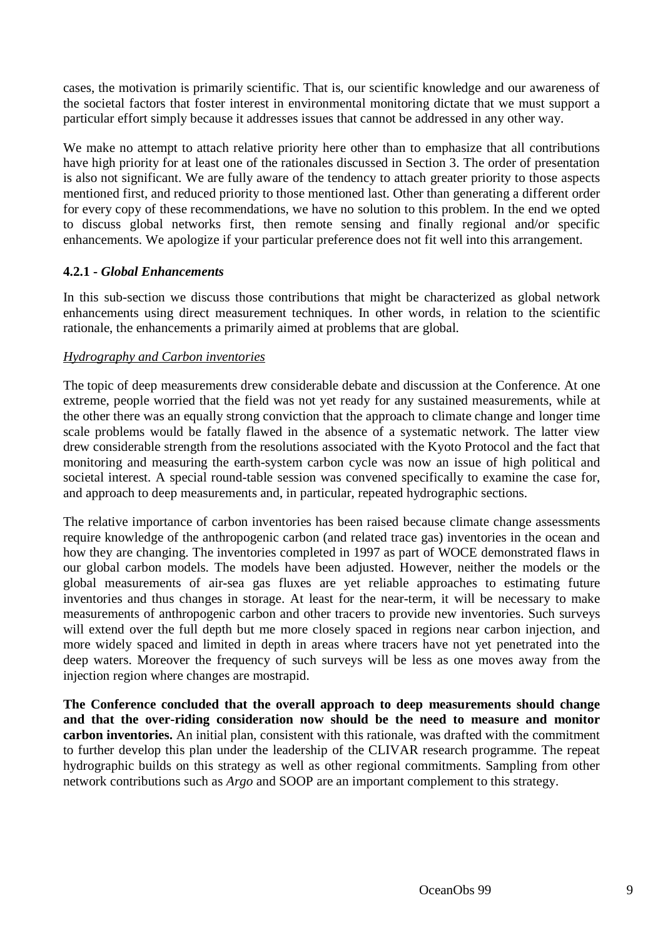cases, the motivation is primarily scientific. That is, our scientific knowledge and our awareness of the societal factors that foster interest in environmental monitoring dictate that we must support a particular effort simply because it addresses issues that cannot be addressed in any other way.

We make no attempt to attach relative priority here other than to emphasize that all contributions have high priority for at least one of the rationales discussed in Section 3. The order of presentation is also not significant. We are fully aware of the tendency to attach greater priority to those aspects mentioned first, and reduced priority to those mentioned last. Other than generating a different order for every copy of these recommendations, we have no solution to this problem. In the end we opted to discuss global networks first, then remote sensing and finally regional and/or specific enhancements. We apologize if your particular preference does not fit well into this arrangement.

#### **4.2.1 -** *Global Enhancements*

In this sub-section we discuss those contributions that might be characterized as global network enhancements using direct measurement techniques. In other words, in relation to the scientific rationale, the enhancements a primarily aimed at problems that are global.

#### *Hydrography and Carbon inventories*

The topic of deep measurements drew considerable debate and discussion at the Conference. At one extreme, people worried that the field was not yet ready for any sustained measurements, while at the other there was an equally strong conviction that the approach to climate change and longer time scale problems would be fatally flawed in the absence of a systematic network. The latter view drew considerable strength from the resolutions associated with the Kyoto Protocol and the fact that monitoring and measuring the earth-system carbon cycle was now an issue of high political and societal interest. A special round-table session was convened specifically to examine the case for, and approach to deep measurements and, in particular, repeated hydrographic sections.

The relative importance of carbon inventories has been raised because climate change assessments require knowledge of the anthropogenic carbon (and related trace gas) inventories in the ocean and how they are changing. The inventories completed in 1997 as part of WOCE demonstrated flaws in our global carbon models. The models have been adjusted. However, neither the models or the global measurements of air-sea gas fluxes are yet reliable approaches to estimating future inventories and thus changes in storage. At least for the near-term, it will be necessary to make measurements of anthropogenic carbon and other tracers to provide new inventories. Such surveys will extend over the full depth but me more closely spaced in regions near carbon injection, and more widely spaced and limited in depth in areas where tracers have not yet penetrated into the deep waters. Moreover the frequency of such surveys will be less as one moves away from the injection region where changes are mostrapid.

**The Conference concluded that the overall approach to deep measurements should change and that the over-riding consideration now should be the need to measure and monitor carbon inventories.** An initial plan, consistent with this rationale, was drafted with the commitment to further develop this plan under the leadership of the CLIVAR research programme. The repeat hydrographic builds on this strategy as well as other regional commitments. Sampling from other network contributions such as *Argo* and SOOP are an important complement to this strategy.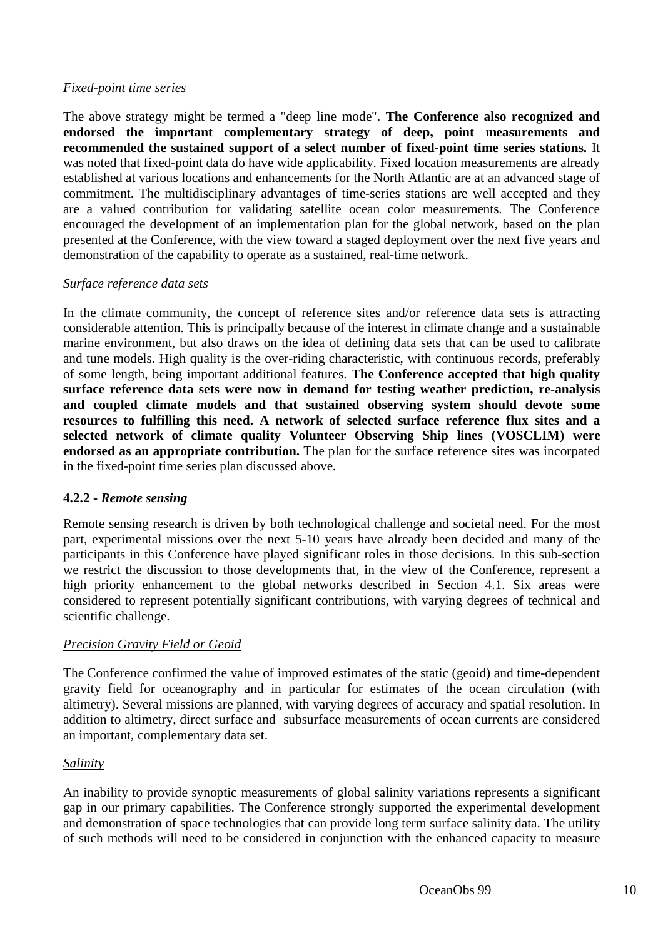#### *Fixed-point time series*

The above strategy might be termed a "deep line mode". **The Conference also recognized and endorsed the important complementary strategy of deep, point measurements and recommended the sustained support of a select number of fixed-point time series stations.** It was noted that fixed-point data do have wide applicability. Fixed location measurements are already established at various locations and enhancements for the North Atlantic are at an advanced stage of commitment. The multidisciplinary advantages of time-series stations are well accepted and they are a valued contribution for validating satellite ocean color measurements. The Conference encouraged the development of an implementation plan for the global network, based on the plan presented at the Conference, with the view toward a staged deployment over the next five years and demonstration of the capability to operate as a sustained, real-time network.

#### *Surface reference data sets*

In the climate community, the concept of reference sites and/or reference data sets is attracting considerable attention. This is principally because of the interest in climate change and a sustainable marine environment, but also draws on the idea of defining data sets that can be used to calibrate and tune models. High quality is the over-riding characteristic, with continuous records, preferably of some length, being important additional features. **The Conference accepted that high quality surface reference data sets were now in demand for testing weather prediction, re-analysis and coupled climate models and that sustained observing system should devote some resources to fulfilling this need. A network of selected surface reference flux sites and a selected network of climate quality Volunteer Observing Ship lines (VOSCLIM) were endorsed as an appropriate contribution.** The plan for the surface reference sites was incorpated in the fixed-point time series plan discussed above.

# **4.2.2 -** *Remote sensing*

Remote sensing research is driven by both technological challenge and societal need. For the most part, experimental missions over the next 5-10 years have already been decided and many of the participants in this Conference have played significant roles in those decisions. In this sub-section we restrict the discussion to those developments that, in the view of the Conference, represent a high priority enhancement to the global networks described in Section 4.1. Six areas were considered to represent potentially significant contributions, with varying degrees of technical and scientific challenge.

# *Precision Gravity Field or Geoid*

The Conference confirmed the value of improved estimates of the static (geoid) and time-dependent gravity field for oceanography and in particular for estimates of the ocean circulation (with altimetry). Several missions are planned, with varying degrees of accuracy and spatial resolution. In addition to altimetry, direct surface and subsurface measurements of ocean currents are considered an important, complementary data set.

# *Salinity*

An inability to provide synoptic measurements of global salinity variations represents a significant gap in our primary capabilities. The Conference strongly supported the experimental development and demonstration of space technologies that can provide long term surface salinity data. The utility of such methods will need to be considered in conjunction with the enhanced capacity to measure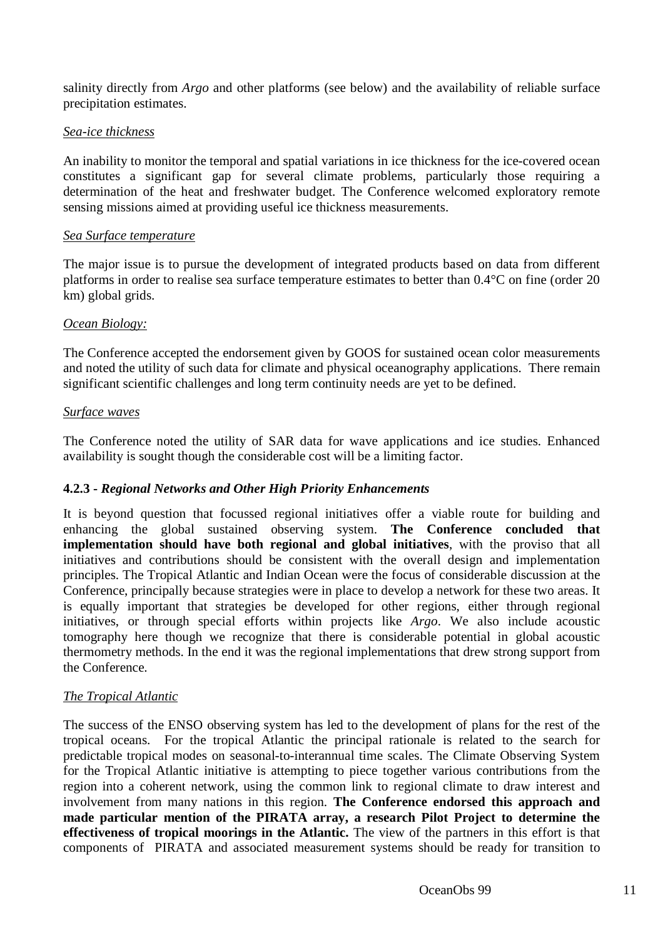salinity directly from *Argo* and other platforms (see below) and the availability of reliable surface precipitation estimates.

#### *Sea-ice thickness*

An inability to monitor the temporal and spatial variations in ice thickness for the ice-covered ocean constitutes a significant gap for several climate problems, particularly those requiring a determination of the heat and freshwater budget. The Conference welcomed exploratory remote sensing missions aimed at providing useful ice thickness measurements.

#### *Sea Surface temperature*

The major issue is to pursue the development of integrated products based on data from different platforms in order to realise sea surface temperature estimates to better than 0.4°C on fine (order 20 km) global grids.

#### *Ocean Biology:*

The Conference accepted the endorsement given by GOOS for sustained ocean color measurements and noted the utility of such data for climate and physical oceanography applications. There remain significant scientific challenges and long term continuity needs are yet to be defined.

#### *Surface waves*

The Conference noted the utility of SAR data for wave applications and ice studies. Enhanced availability is sought though the considerable cost will be a limiting factor.

# **4.2.3 -** *Regional Networks and Other High Priority Enhancements*

It is beyond question that focussed regional initiatives offer a viable route for building and enhancing the global sustained observing system. **The Conference concluded that implementation should have both regional and global initiatives**, with the proviso that all initiatives and contributions should be consistent with the overall design and implementation principles. The Tropical Atlantic and Indian Ocean were the focus of considerable discussion at the Conference, principally because strategies were in place to develop a network for these two areas. It is equally important that strategies be developed for other regions, either through regional initiatives, or through special efforts within projects like *Argo*. We also include acoustic tomography here though we recognize that there is considerable potential in global acoustic thermometry methods. In the end it was the regional implementations that drew strong support from the Conference.

# *The Tropical Atlantic*

The success of the ENSO observing system has led to the development of plans for the rest of the tropical oceans. For the tropical Atlantic the principal rationale is related to the search for predictable tropical modes on seasonal-to-interannual time scales. The Climate Observing System for the Tropical Atlantic initiative is attempting to piece together various contributions from the region into a coherent network, using the common link to regional climate to draw interest and involvement from many nations in this region. **The Conference endorsed this approach and made particular mention of the PIRATA array, a research Pilot Project to determine the effectiveness of tropical moorings in the Atlantic.** The view of the partners in this effort is that components of PIRATA and associated measurement systems should be ready for transition to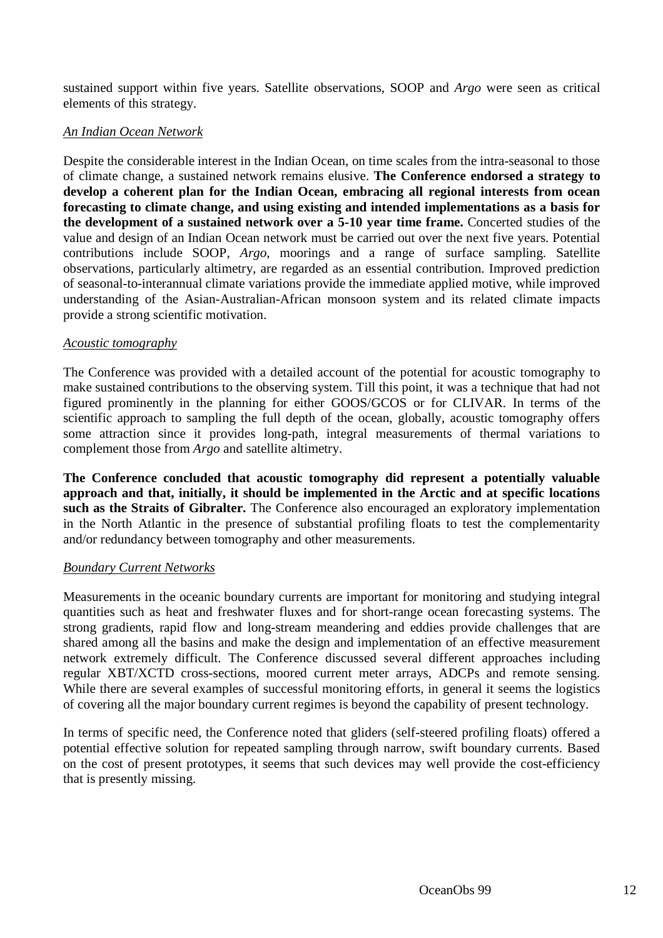sustained support within five years. Satellite observations, SOOP and *Argo* were seen as critical elements of this strategy.

#### *An Indian Ocean Network*

Despite the considerable interest in the Indian Ocean, on time scales from the intra-seasonal to those of climate change, a sustained network remains elusive. **The Conference endorsed a strategy to develop a coherent plan for the Indian Ocean, embracing all regional interests from ocean forecasting to climate change, and using existing and intended implementations as a basis for the development of a sustained network over a 5-10 year time frame.** Concerted studies of the value and design of an Indian Ocean network must be carried out over the next five years. Potential contributions include SOOP, *Argo*, moorings and a range of surface sampling. Satellite observations, particularly altimetry, are regarded as an essential contribution. Improved prediction of seasonal-to-interannual climate variations provide the immediate applied motive, while improved understanding of the Asian-Australian-African monsoon system and its related climate impacts provide a strong scientific motivation.

#### *Acoustic tomography*

The Conference was provided with a detailed account of the potential for acoustic tomography to make sustained contributions to the observing system. Till this point, it was a technique that had not figured prominently in the planning for either GOOS/GCOS or for CLIVAR. In terms of the scientific approach to sampling the full depth of the ocean, globally, acoustic tomography offers some attraction since it provides long-path, integral measurements of thermal variations to complement those from *Argo* and satellite altimetry.

**The Conference concluded that acoustic tomography did represent a potentially valuable approach and that, initially, it should be implemented in the Arctic and at specific locations such as the Straits of Gibralter.** The Conference also encouraged an exploratory implementation in the North Atlantic in the presence of substantial profiling floats to test the complementarity and/or redundancy between tomography and other measurements.

#### *Boundary Current Networks*

Measurements in the oceanic boundary currents are important for monitoring and studying integral quantities such as heat and freshwater fluxes and for short-range ocean forecasting systems. The strong gradients, rapid flow and long-stream meandering and eddies provide challenges that are shared among all the basins and make the design and implementation of an effective measurement network extremely difficult. The Conference discussed several different approaches including regular XBT/XCTD cross-sections, moored current meter arrays, ADCPs and remote sensing. While there are several examples of successful monitoring efforts, in general it seems the logistics of covering all the major boundary current regimes is beyond the capability of present technology.

In terms of specific need, the Conference noted that gliders (self-steered profiling floats) offered a potential effective solution for repeated sampling through narrow, swift boundary currents. Based on the cost of present prototypes, it seems that such devices may well provide the cost-efficiency that is presently missing.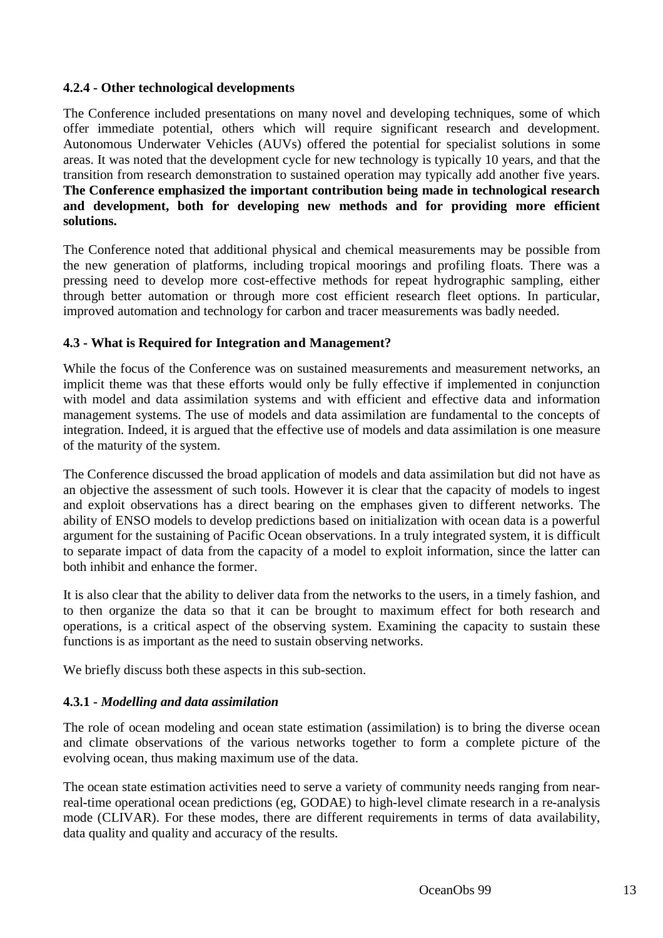# **4.2.4 - Other technological developments**

The Conference included presentations on many novel and developing techniques, some of which offer immediate potential, others which will require significant research and development. Autonomous Underwater Vehicles (AUVs) offered the potential for specialist solutions in some areas. It was noted that the development cycle for new technology is typically 10 years, and that the transition from research demonstration to sustained operation may typically add another five years. **The Conference emphasized the important contribution being made in technological research and development, both for developing new methods and for providing more efficient solutions.**

The Conference noted that additional physical and chemical measurements may be possible from the new generation of platforms, including tropical moorings and profiling floats. There was a pressing need to develop more cost-effective methods for repeat hydrographic sampling, either through better automation or through more cost efficient research fleet options. In particular, improved automation and technology for carbon and tracer measurements was badly needed.

#### **4.3 - What is Required for Integration and Management?**

While the focus of the Conference was on sustained measurements and measurement networks, an implicit theme was that these efforts would only be fully effective if implemented in conjunction with model and data assimilation systems and with efficient and effective data and information management systems. The use of models and data assimilation are fundamental to the concepts of integration. Indeed, it is argued that the effective use of models and data assimilation is one measure of the maturity of the system.

The Conference discussed the broad application of models and data assimilation but did not have as an objective the assessment of such tools. However it is clear that the capacity of models to ingest and exploit observations has a direct bearing on the emphases given to different networks. The ability of ENSO models to develop predictions based on initialization with ocean data is a powerful argument for the sustaining of Pacific Ocean observations. In a truly integrated system, it is difficult to separate impact of data from the capacity of a model to exploit information, since the latter can both inhibit and enhance the former.

It is also clear that the ability to deliver data from the networks to the users, in a timely fashion, and to then organize the data so that it can be brought to maximum effect for both research and operations, is a critical aspect of the observing system. Examining the capacity to sustain these functions is as important as the need to sustain observing networks.

We briefly discuss both these aspects in this sub-section.

# **4.3.1 -** *Modelling and data assimilation*

The role of ocean modeling and ocean state estimation (assimilation) is to bring the diverse ocean and climate observations of the various networks together to form a complete picture of the evolving ocean, thus making maximum use of the data.

The ocean state estimation activities need to serve a variety of community needs ranging from nearreal-time operational ocean predictions (eg, GODAE) to high-level climate research in a re-analysis mode (CLIVAR). For these modes, there are different requirements in terms of data availability, data quality and quality and accuracy of the results.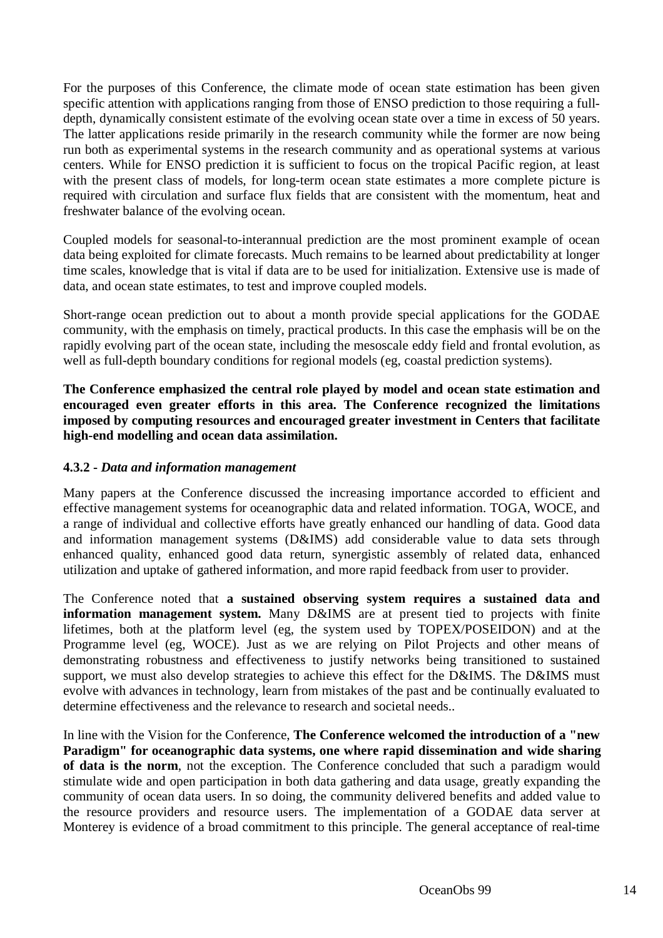For the purposes of this Conference, the climate mode of ocean state estimation has been given specific attention with applications ranging from those of ENSO prediction to those requiring a fulldepth, dynamically consistent estimate of the evolving ocean state over a time in excess of 50 years. The latter applications reside primarily in the research community while the former are now being run both as experimental systems in the research community and as operational systems at various centers. While for ENSO prediction it is sufficient to focus on the tropical Pacific region, at least with the present class of models, for long-term ocean state estimates a more complete picture is required with circulation and surface flux fields that are consistent with the momentum, heat and freshwater balance of the evolving ocean.

Coupled models for seasonal-to-interannual prediction are the most prominent example of ocean data being exploited for climate forecasts. Much remains to be learned about predictability at longer time scales, knowledge that is vital if data are to be used for initialization. Extensive use is made of data, and ocean state estimates, to test and improve coupled models.

Short-range ocean prediction out to about a month provide special applications for the GODAE community, with the emphasis on timely, practical products. In this case the emphasis will be on the rapidly evolving part of the ocean state, including the mesoscale eddy field and frontal evolution, as well as full-depth boundary conditions for regional models (eg, coastal prediction systems).

**The Conference emphasized the central role played by model and ocean state estimation and encouraged even greater efforts in this area. The Conference recognized the limitations imposed by computing resources and encouraged greater investment in Centers that facilitate high-end modelling and ocean data assimilation.**

# **4.3.2 -** *Data and information management*

Many papers at the Conference discussed the increasing importance accorded to efficient and effective management systems for oceanographic data and related information. TOGA, WOCE, and a range of individual and collective efforts have greatly enhanced our handling of data. Good data and information management systems (D&IMS) add considerable value to data sets through enhanced quality, enhanced good data return, synergistic assembly of related data, enhanced utilization and uptake of gathered information, and more rapid feedback from user to provider.

The Conference noted that **a sustained observing system requires a sustained data and information management system.** Many D&IMS are at present tied to projects with finite lifetimes, both at the platform level (eg, the system used by TOPEX/POSEIDON) and at the Programme level (eg, WOCE). Just as we are relying on Pilot Projects and other means of demonstrating robustness and effectiveness to justify networks being transitioned to sustained support, we must also develop strategies to achieve this effect for the D&IMS. The D&IMS must evolve with advances in technology, learn from mistakes of the past and be continually evaluated to determine effectiveness and the relevance to research and societal needs..

In line with the Vision for the Conference, **The Conference welcomed the introduction of a "new Paradigm" for oceanographic data systems, one where rapid dissemination and wide sharing of data is the norm**, not the exception. The Conference concluded that such a paradigm would stimulate wide and open participation in both data gathering and data usage, greatly expanding the community of ocean data users. In so doing, the community delivered benefits and added value to the resource providers and resource users. The implementation of a GODAE data server at Monterey is evidence of a broad commitment to this principle. The general acceptance of real-time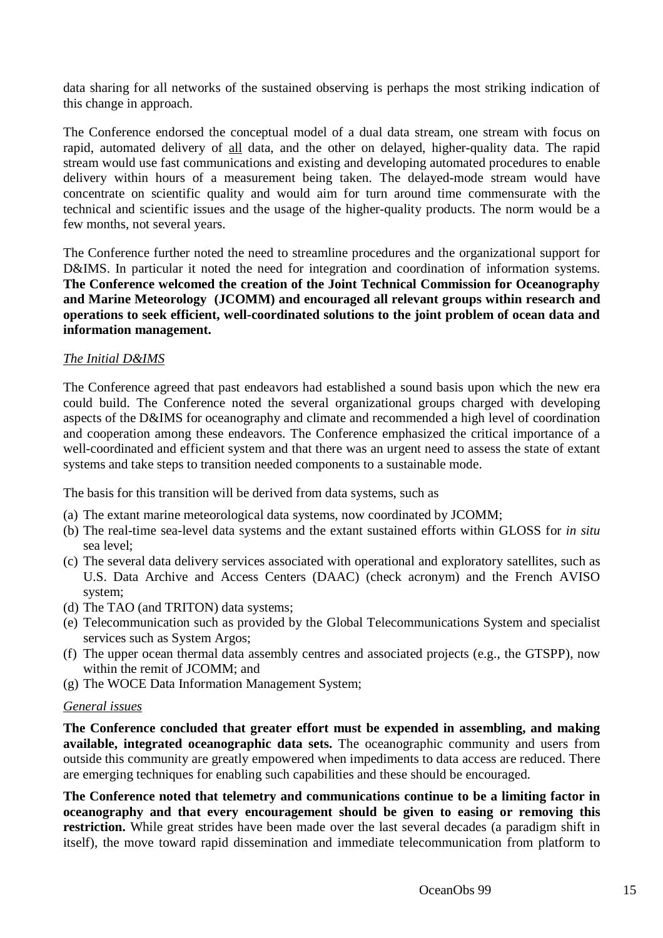data sharing for all networks of the sustained observing is perhaps the most striking indication of this change in approach.

The Conference endorsed the conceptual model of a dual data stream, one stream with focus on rapid, automated delivery of all data, and the other on delayed, higher-quality data. The rapid stream would use fast communications and existing and developing automated procedures to enable delivery within hours of a measurement being taken. The delayed-mode stream would have concentrate on scientific quality and would aim for turn around time commensurate with the technical and scientific issues and the usage of the higher-quality products. The norm would be a few months, not several years.

The Conference further noted the need to streamline procedures and the organizational support for D&IMS. In particular it noted the need for integration and coordination of information systems. **The Conference welcomed the creation of the Joint Technical Commission for Oceanography and Marine Meteorology (JCOMM) and encouraged all relevant groups within research and operations to seek efficient, well-coordinated solutions to the joint problem of ocean data and information management.**

# *The Initial D&IMS*

The Conference agreed that past endeavors had established a sound basis upon which the new era could build. The Conference noted the several organizational groups charged with developing aspects of the D&IMS for oceanography and climate and recommended a high level of coordination and cooperation among these endeavors. The Conference emphasized the critical importance of a well-coordinated and efficient system and that there was an urgent need to assess the state of extant systems and take steps to transition needed components to a sustainable mode.

The basis for this transition will be derived from data systems, such as

- (a) The extant marine meteorological data systems, now coordinated by JCOMM;
- (b) The real-time sea-level data systems and the extant sustained efforts within GLOSS for *in situ* sea level;
- (c) The several data delivery services associated with operational and exploratory satellites, such as U.S. Data Archive and Access Centers (DAAC) (check acronym) and the French AVISO system;
- (d) The TAO (and TRITON) data systems;
- (e) Telecommunication such as provided by the Global Telecommunications System and specialist services such as System Argos;
- (f) The upper ocean thermal data assembly centres and associated projects (e.g., the GTSPP), now within the remit of JCOMM; and
- (g) The WOCE Data Information Management System;

#### *General issues*

**The Conference concluded that greater effort must be expended in assembling, and making available, integrated oceanographic data sets.** The oceanographic community and users from outside this community are greatly empowered when impediments to data access are reduced. There are emerging techniques for enabling such capabilities and these should be encouraged.

**The Conference noted that telemetry and communications continue to be a limiting factor in oceanography and that every encouragement should be given to easing or removing this restriction.** While great strides have been made over the last several decades (a paradigm shift in itself), the move toward rapid dissemination and immediate telecommunication from platform to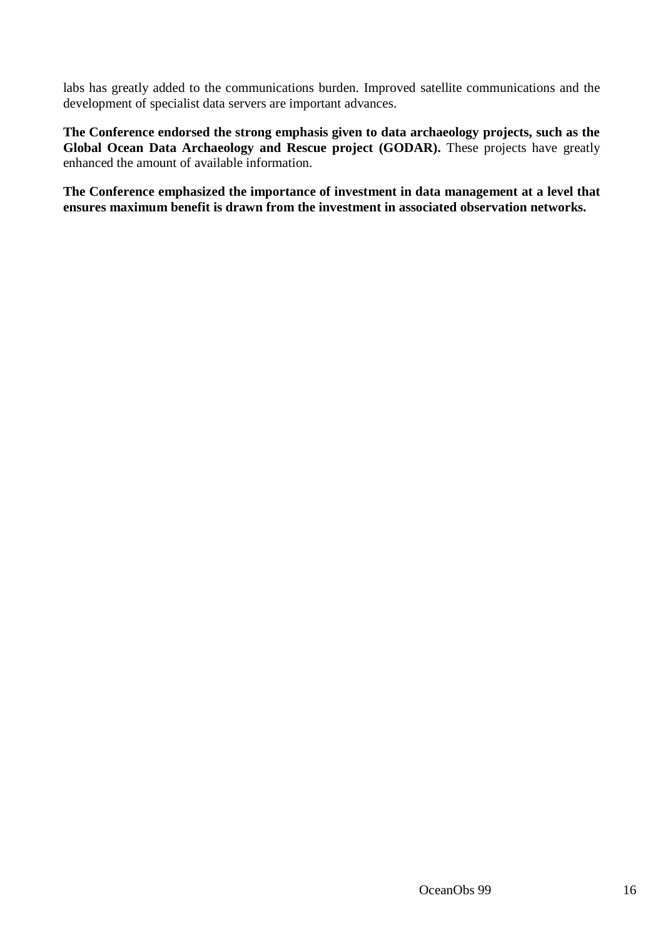labs has greatly added to the communications burden. Improved satellite communications and the development of specialist data servers are important advances.

**The Conference endorsed the strong emphasis given to data archaeology projects, such as the** Global Ocean Data Archaeology and Rescue project (GODAR). These projects have greatly enhanced the amount of available information.

**The Conference emphasized the importance of investment in data management at a level that ensures maximum benefit is drawn from the investment in associated observation networks.**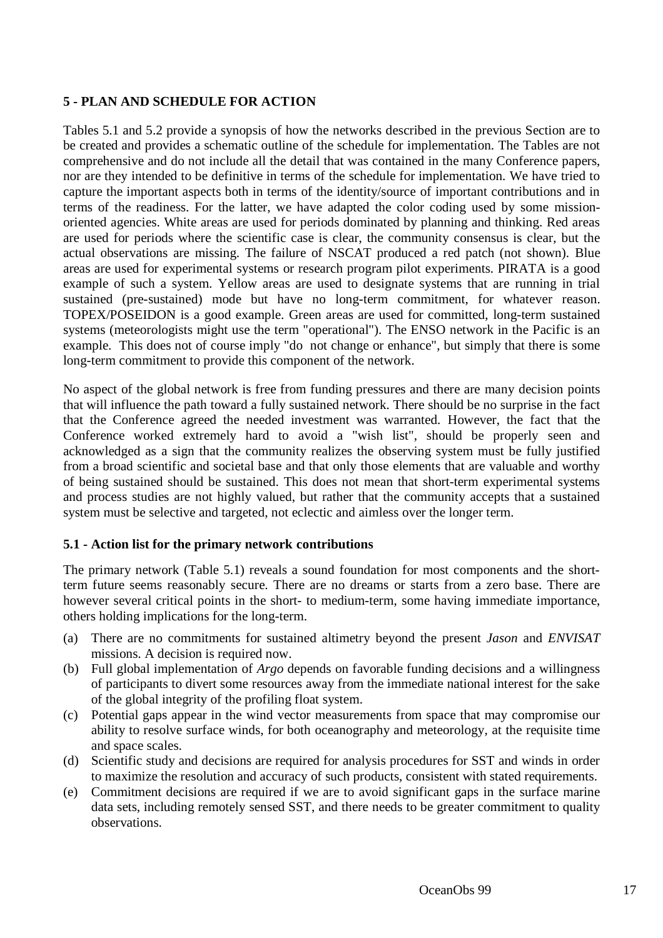# **5 - PLAN AND SCHEDULE FOR ACTION**

Tables 5.1 and 5.2 provide a synopsis of how the networks described in the previous Section are to be created and provides a schematic outline of the schedule for implementation. The Tables are not comprehensive and do not include all the detail that was contained in the many Conference papers, nor are they intended to be definitive in terms of the schedule for implementation. We have tried to capture the important aspects both in terms of the identity/source of important contributions and in terms of the readiness. For the latter, we have adapted the color coding used by some missionoriented agencies. White areas are used for periods dominated by planning and thinking. Red areas are used for periods where the scientific case is clear, the community consensus is clear, but the actual observations are missing. The failure of NSCAT produced a red patch (not shown). Blue areas are used for experimental systems or research program pilot experiments. PIRATA is a good example of such a system. Yellow areas are used to designate systems that are running in trial sustained (pre-sustained) mode but have no long-term commitment, for whatever reason. TOPEX/POSEIDON is a good example. Green areas are used for committed, long-term sustained systems (meteorologists might use the term "operational"). The ENSO network in the Pacific is an example. This does not of course imply "do not change or enhance", but simply that there is some long-term commitment to provide this component of the network.

No aspect of the global network is free from funding pressures and there are many decision points that will influence the path toward a fully sustained network. There should be no surprise in the fact that the Conference agreed the needed investment was warranted. However, the fact that the Conference worked extremely hard to avoid a "wish list", should be properly seen and acknowledged as a sign that the community realizes the observing system must be fully justified from a broad scientific and societal base and that only those elements that are valuable and worthy of being sustained should be sustained. This does not mean that short-term experimental systems and process studies are not highly valued, but rather that the community accepts that a sustained system must be selective and targeted, not eclectic and aimless over the longer term.

# **5.1 - Action list for the primary network contributions**

The primary network (Table 5.1) reveals a sound foundation for most components and the shortterm future seems reasonably secure. There are no dreams or starts from a zero base. There are however several critical points in the short- to medium-term, some having immediate importance, others holding implications for the long-term.

- (a) There are no commitments for sustained altimetry beyond the present *Jason* and *ENVISAT* missions. A decision is required now.
- (b) Full global implementation of *Argo* depends on favorable funding decisions and a willingness of participants to divert some resources away from the immediate national interest for the sake of the global integrity of the profiling float system.
- (c) Potential gaps appear in the wind vector measurements from space that may compromise our ability to resolve surface winds, for both oceanography and meteorology, at the requisite time and space scales.
- (d) Scientific study and decisions are required for analysis procedures for SST and winds in order to maximize the resolution and accuracy of such products, consistent with stated requirements.
- (e) Commitment decisions are required if we are to avoid significant gaps in the surface marine data sets, including remotely sensed SST, and there needs to be greater commitment to quality observations.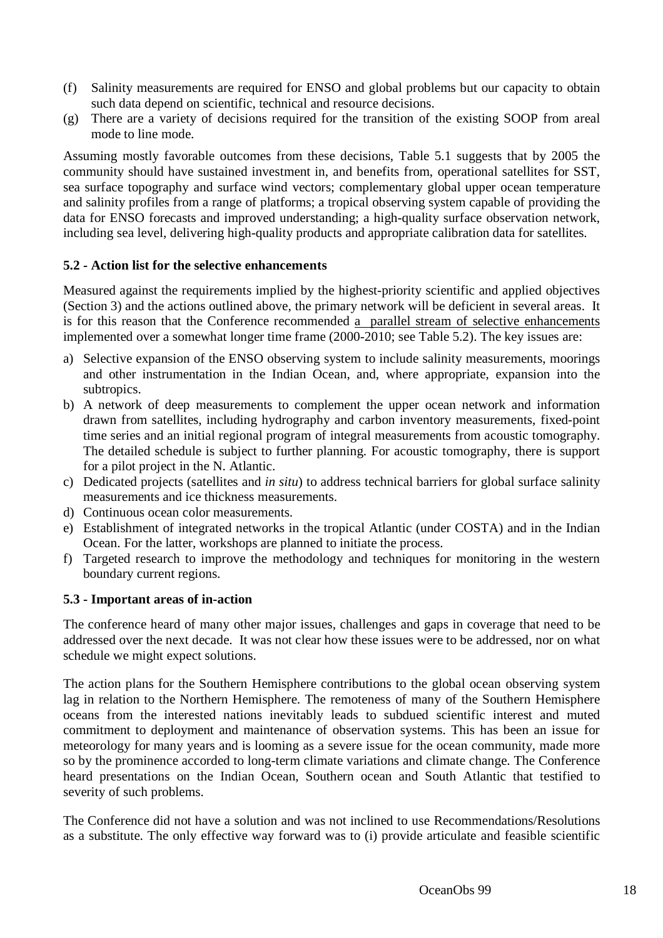- (f) Salinity measurements are required for ENSO and global problems but our capacity to obtain such data depend on scientific, technical and resource decisions.
- (g) There are a variety of decisions required for the transition of the existing SOOP from areal mode to line mode.

Assuming mostly favorable outcomes from these decisions, Table 5.1 suggests that by 2005 the community should have sustained investment in, and benefits from, operational satellites for SST, sea surface topography and surface wind vectors; complementary global upper ocean temperature and salinity profiles from a range of platforms; a tropical observing system capable of providing the data for ENSO forecasts and improved understanding; a high-quality surface observation network, including sea level, delivering high-quality products and appropriate calibration data for satellites.

#### **5.2 - Action list for the selective enhancements**

Measured against the requirements implied by the highest-priority scientific and applied objectives (Section 3) and the actions outlined above, the primary network will be deficient in several areas. It is for this reason that the Conference recommended a parallel stream of selective enhancements implemented over a somewhat longer time frame (2000-2010; see Table 5.2). The key issues are:

- a) Selective expansion of the ENSO observing system to include salinity measurements, moorings and other instrumentation in the Indian Ocean, and, where appropriate, expansion into the subtropics.
- b) A network of deep measurements to complement the upper ocean network and information drawn from satellites, including hydrography and carbon inventory measurements, fixed-point time series and an initial regional program of integral measurements from acoustic tomography. The detailed schedule is subject to further planning. For acoustic tomography, there is support for a pilot project in the N. Atlantic.
- c) Dedicated projects (satellites and *in situ*) to address technical barriers for global surface salinity measurements and ice thickness measurements.
- d) Continuous ocean color measurements.
- e) Establishment of integrated networks in the tropical Atlantic (under COSTA) and in the Indian Ocean. For the latter, workshops are planned to initiate the process.
- f) Targeted research to improve the methodology and techniques for monitoring in the western boundary current regions.

#### **5.3 - Important areas of in-action**

The conference heard of many other major issues, challenges and gaps in coverage that need to be addressed over the next decade. It was not clear how these issues were to be addressed, nor on what schedule we might expect solutions.

The action plans for the Southern Hemisphere contributions to the global ocean observing system lag in relation to the Northern Hemisphere. The remoteness of many of the Southern Hemisphere oceans from the interested nations inevitably leads to subdued scientific interest and muted commitment to deployment and maintenance of observation systems. This has been an issue for meteorology for many years and is looming as a severe issue for the ocean community, made more so by the prominence accorded to long-term climate variations and climate change. The Conference heard presentations on the Indian Ocean, Southern ocean and South Atlantic that testified to severity of such problems.

The Conference did not have a solution and was not inclined to use Recommendations/Resolutions as a substitute. The only effective way forward was to (i) provide articulate and feasible scientific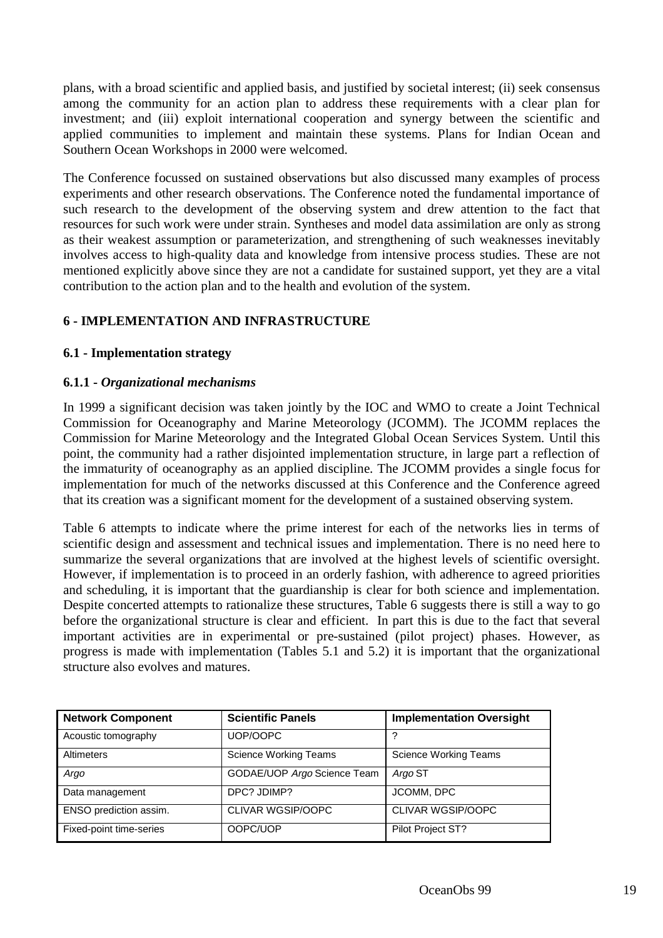plans, with a broad scientific and applied basis, and justified by societal interest; (ii) seek consensus among the community for an action plan to address these requirements with a clear plan for investment; and (iii) exploit international cooperation and synergy between the scientific and applied communities to implement and maintain these systems. Plans for Indian Ocean and Southern Ocean Workshops in 2000 were welcomed.

The Conference focussed on sustained observations but also discussed many examples of process experiments and other research observations. The Conference noted the fundamental importance of such research to the development of the observing system and drew attention to the fact that resources for such work were under strain. Syntheses and model data assimilation are only as strong as their weakest assumption or parameterization, and strengthening of such weaknesses inevitably involves access to high-quality data and knowledge from intensive process studies. These are not mentioned explicitly above since they are not a candidate for sustained support, yet they are a vital contribution to the action plan and to the health and evolution of the system.

# **6 - IMPLEMENTATION AND INFRASTRUCTURE**

#### **6.1 - Implementation strategy**

#### **6.1.1 -** *Organizational mechanisms*

In 1999 a significant decision was taken jointly by the IOC and WMO to create a Joint Technical Commission for Oceanography and Marine Meteorology (JCOMM). The JCOMM replaces the Commission for Marine Meteorology and the Integrated Global Ocean Services System. Until this point, the community had a rather disjointed implementation structure, in large part a reflection of the immaturity of oceanography as an applied discipline. The JCOMM provides a single focus for implementation for much of the networks discussed at this Conference and the Conference agreed that its creation was a significant moment for the development of a sustained observing system.

Table 6 attempts to indicate where the prime interest for each of the networks lies in terms of scientific design and assessment and technical issues and implementation. There is no need here to summarize the several organizations that are involved at the highest levels of scientific oversight. However, if implementation is to proceed in an orderly fashion, with adherence to agreed priorities and scheduling, it is important that the guardianship is clear for both science and implementation. Despite concerted attempts to rationalize these structures, Table 6 suggests there is still a way to go before the organizational structure is clear and efficient. In part this is due to the fact that several important activities are in experimental or pre-sustained (pilot project) phases. However, as progress is made with implementation (Tables 5.1 and 5.2) it is important that the organizational structure also evolves and matures.

| <b>Network Component</b> | <b>Scientific Panels</b>     | <b>Implementation Oversight</b> |
|--------------------------|------------------------------|---------------------------------|
| Acoustic tomography      | UOP/OOPC                     | ?                               |
| Altimeters               | <b>Science Working Teams</b> | Science Working Teams           |
| Argo                     | GODAE/UOP Argo Science Team  | Argo ST                         |
| Data management          | DPC? JDIMP?                  | <b>JCOMM. DPC</b>               |
| ENSO prediction assim.   | CLIVAR WGSIP/OOPC            | <b>CLIVAR WGSIP/OOPC</b>        |
| Fixed-point time-series  | OOPC/UOP                     | Pilot Project ST?               |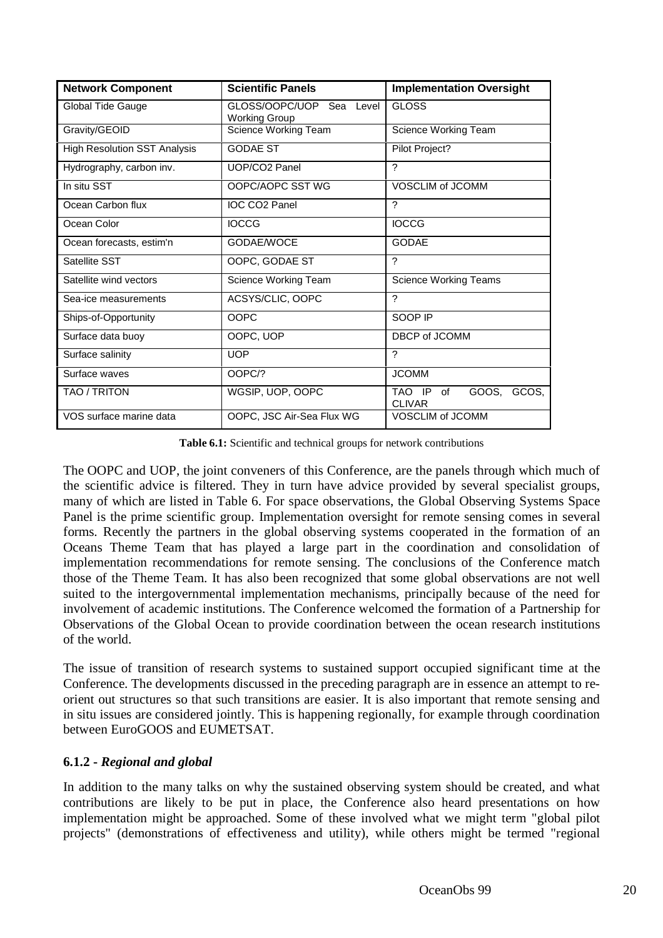| <b>Network Component</b>            | <b>Scientific Panels</b>                         | <b>Implementation Oversight</b>              |
|-------------------------------------|--------------------------------------------------|----------------------------------------------|
| Global Tide Gauge                   | GLOSS/OOPC/UOP Sea Level<br><b>Working Group</b> | <b>GLOSS</b>                                 |
| Gravity/GEOID                       | Science Working Team                             | Science Working Team                         |
| <b>High Resolution SST Analysis</b> | <b>GODAE ST</b>                                  | Pilot Project?                               |
| Hydrography, carbon inv.            | UOP/CO2 Panel                                    | ?                                            |
| In situ SST                         | OOPC/AOPC SST WG                                 | VOSCLIM of JCOMM                             |
| Ocean Carbon flux                   | IOC CO <sub>2</sub> Panel                        | $\gamma$                                     |
| Ocean Color                         | <b>IOCCG</b>                                     | <b>IOCCG</b>                                 |
| Ocean forecasts, estim'n            | GODAE/WOCE                                       | <b>GODAE</b>                                 |
| Satellite SST                       | OOPC, GODAE ST                                   | ?                                            |
| Satellite wind vectors              | Science Working Team                             | Science Working Teams                        |
| Sea-ice measurements                | ACSYS/CLIC, OOPC                                 | ?                                            |
| Ships-of-Opportunity                | <b>OOPC</b>                                      | SOOP IP                                      |
| Surface data buoy                   | OOPC, UOP                                        | DBCP of JCOMM                                |
| Surface salinity                    | <b>UOP</b>                                       | $\gamma$                                     |
| Surface waves                       | OOPC/?                                           | <b>JCOMM</b>                                 |
| TAO / TRITON                        | WGSIP, UOP, OOPC                                 | GOOS, GCOS,<br>TAO IP<br>of<br><b>CLIVAR</b> |
| VOS surface marine data             | OOPC, JSC Air-Sea Flux WG                        | <b>VOSCLIM of JCOMM</b>                      |

**Table 6.1:** Scientific and technical groups for network contributions

The OOPC and UOP, the joint conveners of this Conference, are the panels through which much of the scientific advice is filtered. They in turn have advice provided by several specialist groups, many of which are listed in Table 6. For space observations, the Global Observing Systems Space Panel is the prime scientific group. Implementation oversight for remote sensing comes in several forms. Recently the partners in the global observing systems cooperated in the formation of an Oceans Theme Team that has played a large part in the coordination and consolidation of implementation recommendations for remote sensing. The conclusions of the Conference match those of the Theme Team. It has also been recognized that some global observations are not well suited to the intergovernmental implementation mechanisms, principally because of the need for involvement of academic institutions. The Conference welcomed the formation of a Partnership for Observations of the Global Ocean to provide coordination between the ocean research institutions of the world.

The issue of transition of research systems to sustained support occupied significant time at the Conference. The developments discussed in the preceding paragraph are in essence an attempt to reorient out structures so that such transitions are easier. It is also important that remote sensing and in situ issues are considered jointly. This is happening regionally, for example through coordination between EuroGOOS and EUMETSAT.

# **6.1.2 -** *Regional and global*

In addition to the many talks on why the sustained observing system should be created, and what contributions are likely to be put in place, the Conference also heard presentations on how implementation might be approached. Some of these involved what we might term "global pilot projects" (demonstrations of effectiveness and utility), while others might be termed "regional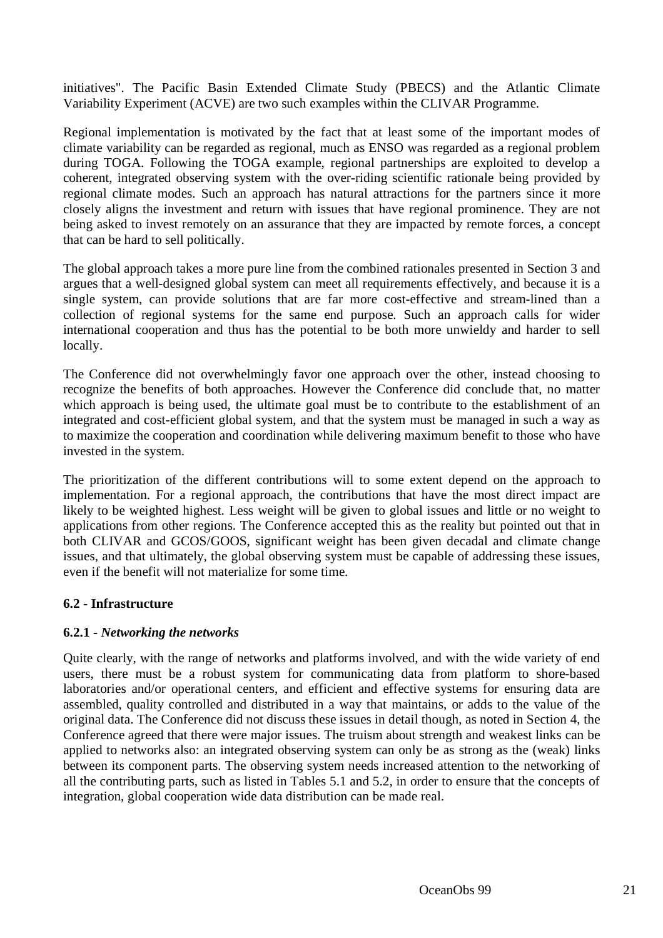initiatives". The Pacific Basin Extended Climate Study (PBECS) and the Atlantic Climate Variability Experiment (ACVE) are two such examples within the CLIVAR Programme.

Regional implementation is motivated by the fact that at least some of the important modes of climate variability can be regarded as regional, much as ENSO was regarded as a regional problem during TOGA. Following the TOGA example, regional partnerships are exploited to develop a coherent, integrated observing system with the over-riding scientific rationale being provided by regional climate modes. Such an approach has natural attractions for the partners since it more closely aligns the investment and return with issues that have regional prominence. They are not being asked to invest remotely on an assurance that they are impacted by remote forces, a concept that can be hard to sell politically.

The global approach takes a more pure line from the combined rationales presented in Section 3 and argues that a well-designed global system can meet all requirements effectively, and because it is a single system, can provide solutions that are far more cost-effective and stream-lined than a collection of regional systems for the same end purpose. Such an approach calls for wider international cooperation and thus has the potential to be both more unwieldy and harder to sell locally.

The Conference did not overwhelmingly favor one approach over the other, instead choosing to recognize the benefits of both approaches. However the Conference did conclude that, no matter which approach is being used, the ultimate goal must be to contribute to the establishment of an integrated and cost-efficient global system, and that the system must be managed in such a way as to maximize the cooperation and coordination while delivering maximum benefit to those who have invested in the system.

The prioritization of the different contributions will to some extent depend on the approach to implementation. For a regional approach, the contributions that have the most direct impact are likely to be weighted highest. Less weight will be given to global issues and little or no weight to applications from other regions. The Conference accepted this as the reality but pointed out that in both CLIVAR and GCOS/GOOS, significant weight has been given decadal and climate change issues, and that ultimately, the global observing system must be capable of addressing these issues, even if the benefit will not materialize for some time.

# **6.2 - Infrastructure**

# **6.2.1 -** *Networking the networks*

Quite clearly, with the range of networks and platforms involved, and with the wide variety of end users, there must be a robust system for communicating data from platform to shore-based laboratories and/or operational centers, and efficient and effective systems for ensuring data are assembled, quality controlled and distributed in a way that maintains, or adds to the value of the original data. The Conference did not discuss these issues in detail though, as noted in Section 4, the Conference agreed that there were major issues. The truism about strength and weakest links can be applied to networks also: an integrated observing system can only be as strong as the (weak) links between its component parts. The observing system needs increased attention to the networking of all the contributing parts, such as listed in Tables 5.1 and 5.2, in order to ensure that the concepts of integration, global cooperation wide data distribution can be made real.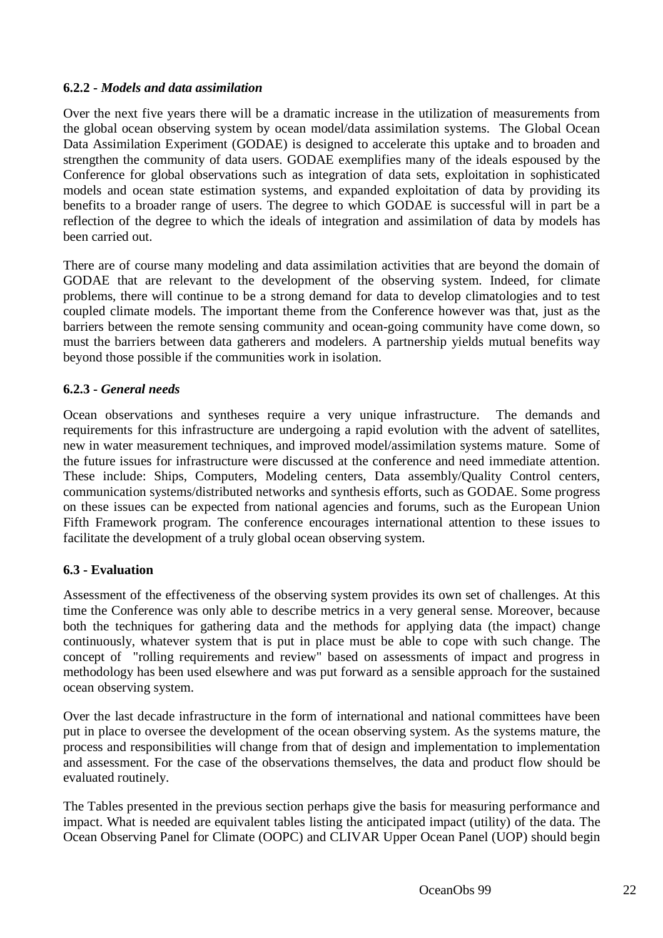# **6.2.2 -** *Models and data assimilation*

Over the next five years there will be a dramatic increase in the utilization of measurements from the global ocean observing system by ocean model/data assimilation systems. The Global Ocean Data Assimilation Experiment (GODAE) is designed to accelerate this uptake and to broaden and strengthen the community of data users. GODAE exemplifies many of the ideals espoused by the Conference for global observations such as integration of data sets, exploitation in sophisticated models and ocean state estimation systems, and expanded exploitation of data by providing its benefits to a broader range of users. The degree to which GODAE is successful will in part be a reflection of the degree to which the ideals of integration and assimilation of data by models has been carried out.

There are of course many modeling and data assimilation activities that are beyond the domain of GODAE that are relevant to the development of the observing system. Indeed, for climate problems, there will continue to be a strong demand for data to develop climatologies and to test coupled climate models. The important theme from the Conference however was that, just as the barriers between the remote sensing community and ocean-going community have come down, so must the barriers between data gatherers and modelers. A partnership yields mutual benefits way beyond those possible if the communities work in isolation.

# **6.2.3 -** *General needs*

Ocean observations and syntheses require a very unique infrastructure. The demands and requirements for this infrastructure are undergoing a rapid evolution with the advent of satellites, new in water measurement techniques, and improved model/assimilation systems mature. Some of the future issues for infrastructure were discussed at the conference and need immediate attention. These include: Ships, Computers, Modeling centers, Data assembly/Quality Control centers, communication systems/distributed networks and synthesis efforts, such as GODAE. Some progress on these issues can be expected from national agencies and forums, such as the European Union Fifth Framework program. The conference encourages international attention to these issues to facilitate the development of a truly global ocean observing system.

# **6.3 - Evaluation**

Assessment of the effectiveness of the observing system provides its own set of challenges. At this time the Conference was only able to describe metrics in a very general sense. Moreover, because both the techniques for gathering data and the methods for applying data (the impact) change continuously, whatever system that is put in place must be able to cope with such change. The concept of "rolling requirements and review" based on assessments of impact and progress in methodology has been used elsewhere and was put forward as a sensible approach for the sustained ocean observing system.

Over the last decade infrastructure in the form of international and national committees have been put in place to oversee the development of the ocean observing system. As the systems mature, the process and responsibilities will change from that of design and implementation to implementation and assessment. For the case of the observations themselves, the data and product flow should be evaluated routinely.

The Tables presented in the previous section perhaps give the basis for measuring performance and impact. What is needed are equivalent tables listing the anticipated impact (utility) of the data. The Ocean Observing Panel for Climate (OOPC) and CLIVAR Upper Ocean Panel (UOP) should begin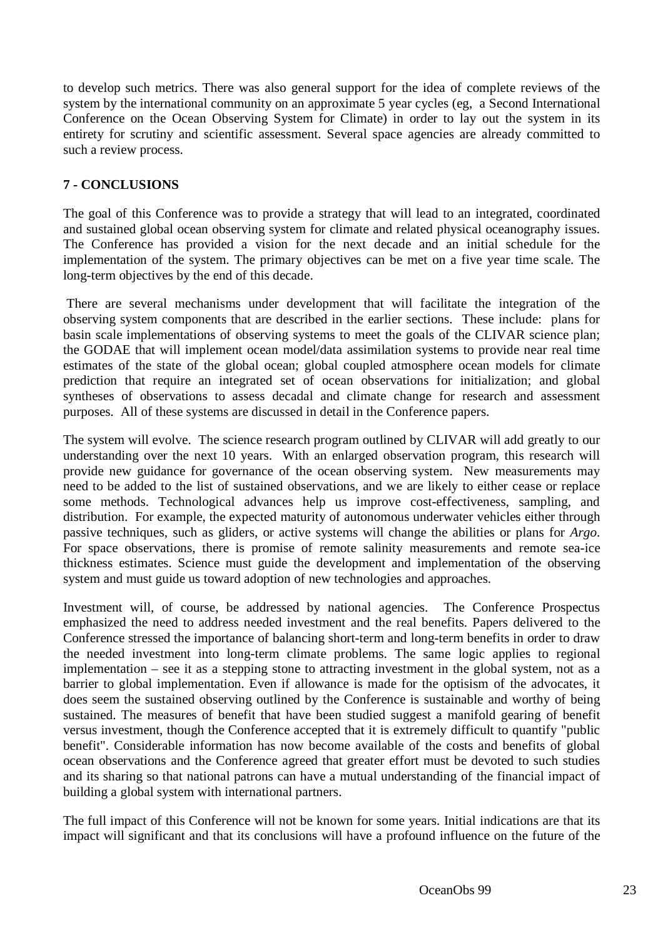to develop such metrics. There was also general support for the idea of complete reviews of the system by the international community on an approximate 5 year cycles (eg, a Second International Conference on the Ocean Observing System for Climate) in order to lay out the system in its entirety for scrutiny and scientific assessment. Several space agencies are already committed to such a review process.

# **7 - CONCLUSIONS**

The goal of this Conference was to provide a strategy that will lead to an integrated, coordinated and sustained global ocean observing system for climate and related physical oceanography issues. The Conference has provided a vision for the next decade and an initial schedule for the implementation of the system. The primary objectives can be met on a five year time scale. The long-term objectives by the end of this decade.

 There are several mechanisms under development that will facilitate the integration of the observing system components that are described in the earlier sections. These include: plans for basin scale implementations of observing systems to meet the goals of the CLIVAR science plan; the GODAE that will implement ocean model/data assimilation systems to provide near real time estimates of the state of the global ocean; global coupled atmosphere ocean models for climate prediction that require an integrated set of ocean observations for initialization; and global syntheses of observations to assess decadal and climate change for research and assessment purposes. All of these systems are discussed in detail in the Conference papers.

The system will evolve. The science research program outlined by CLIVAR will add greatly to our understanding over the next 10 years. With an enlarged observation program, this research will provide new guidance for governance of the ocean observing system. New measurements may need to be added to the list of sustained observations, and we are likely to either cease or replace some methods. Technological advances help us improve cost-effectiveness, sampling, and distribution. For example, the expected maturity of autonomous underwater vehicles either through passive techniques, such as gliders, or active systems will change the abilities or plans for *Argo*. For space observations, there is promise of remote salinity measurements and remote sea-ice thickness estimates. Science must guide the development and implementation of the observing system and must guide us toward adoption of new technologies and approaches.

Investment will, of course, be addressed by national agencies. The Conference Prospectus emphasized the need to address needed investment and the real benefits. Papers delivered to the Conference stressed the importance of balancing short-term and long-term benefits in order to draw the needed investment into long-term climate problems. The same logic applies to regional implementation – see it as a stepping stone to attracting investment in the global system, not as a barrier to global implementation. Even if allowance is made for the optisism of the advocates, it does seem the sustained observing outlined by the Conference is sustainable and worthy of being sustained. The measures of benefit that have been studied suggest a manifold gearing of benefit versus investment, though the Conference accepted that it is extremely difficult to quantify "public benefit". Considerable information has now become available of the costs and benefits of global ocean observations and the Conference agreed that greater effort must be devoted to such studies and its sharing so that national patrons can have a mutual understanding of the financial impact of building a global system with international partners.

The full impact of this Conference will not be known for some years. Initial indications are that its impact will significant and that its conclusions will have a profound influence on the future of the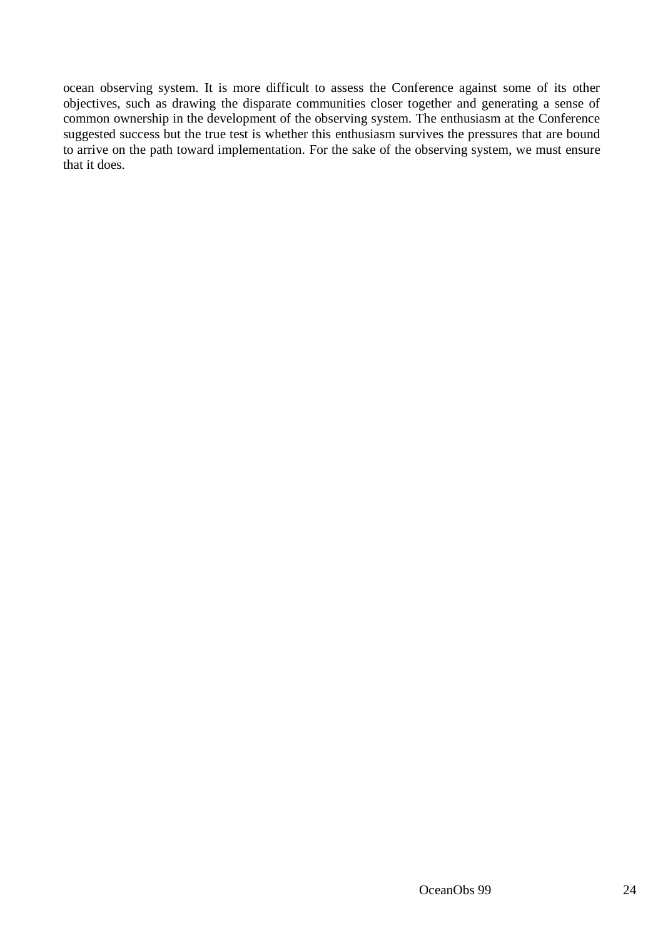ocean observing system. It is more difficult to assess the Conference against some of its other objectives, such as drawing the disparate communities closer together and generating a sense of common ownership in the development of the observing system. The enthusiasm at the Conference suggested success but the true test is whether this enthusiasm survives the pressures that are bound to arrive on the path toward implementation. For the sake of the observing system, we must ensure that it does.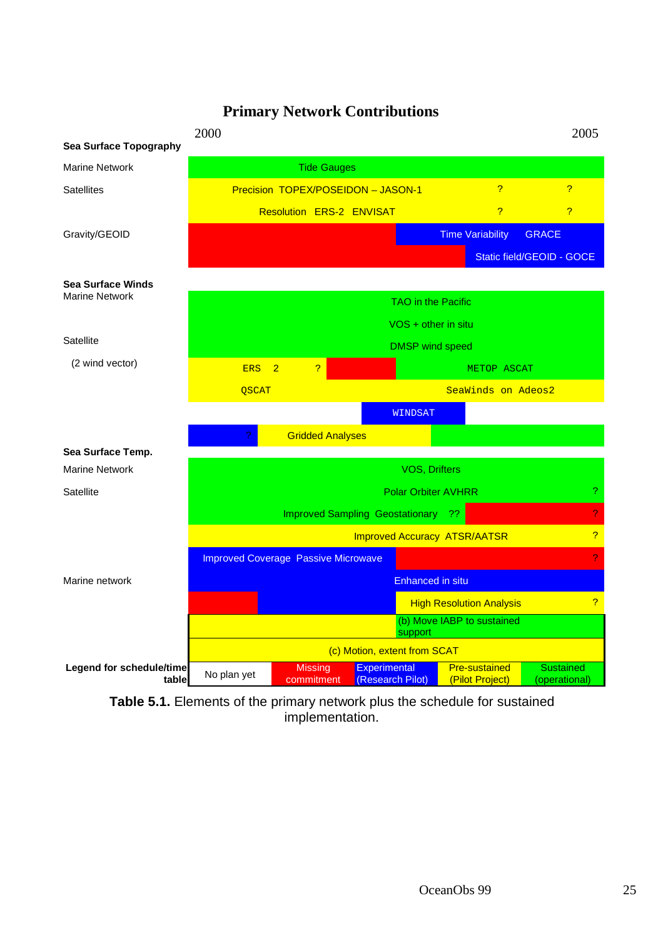# **Primary Network Contributions**



**Table 5.1.** Elements of the primary network plus the schedule for sustained implementation.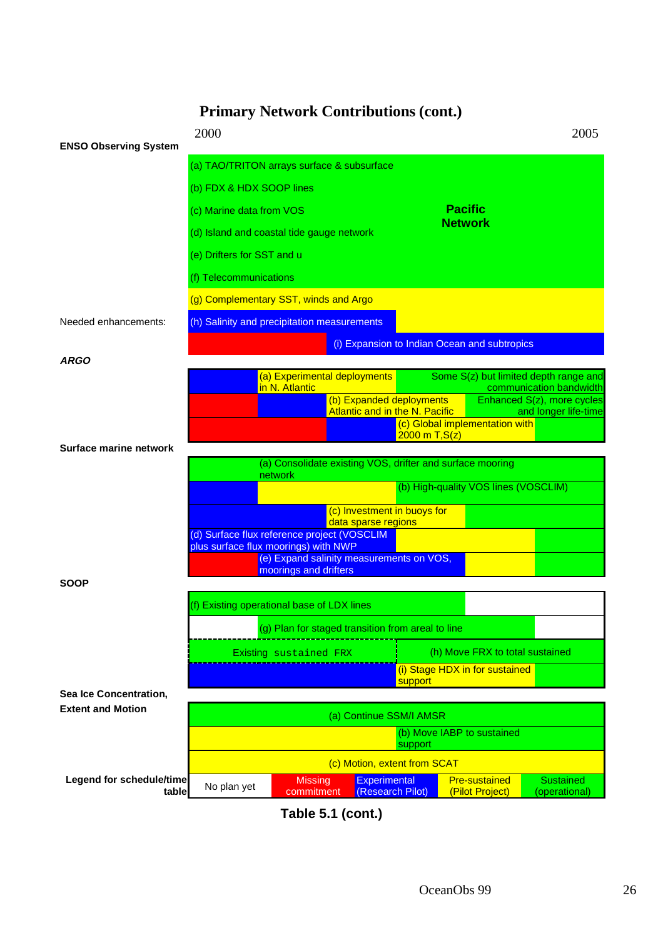# **Primary Network Contributions (cont.)**



**Table 5.1 (cont.)**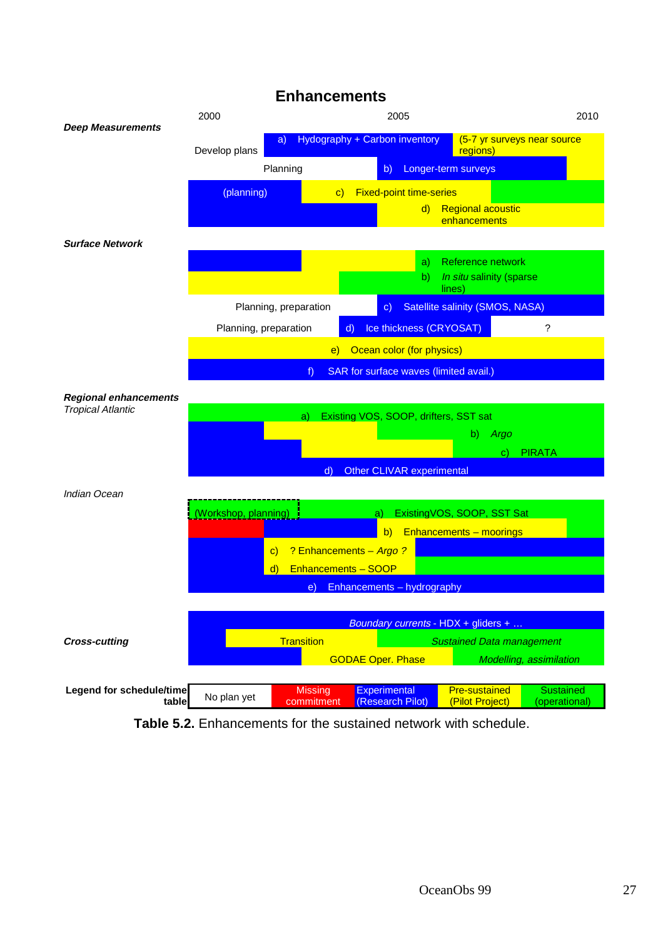# **Enhancements**



**Table 5.2.** Enhancements for the sustained network with schedule.